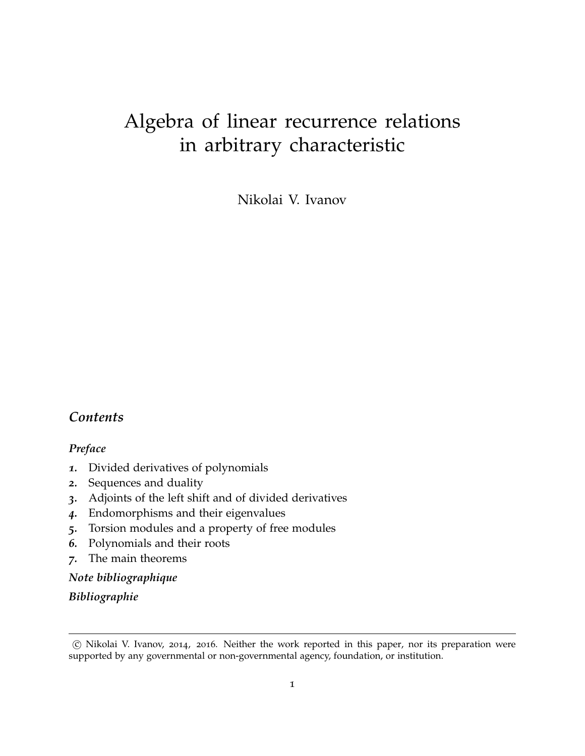# Algebra of linear recurrence relations in arbitrary characteristic

Nikolai V. Ivanov

#### *Contents*

#### *Preface*

- *1.* Divided derivatives of polynomials
- *2.* Sequences and duality
- *3.* Adjoints of the left shift and of divided derivatives
- *4.* Endomorphisms and their eigenvalues
- *5.* Torsion modules and a property of free modules
- *6.* Polynomials and their roots
- *7.* The main theorems

#### *Note bibliographique*

*Bibliographie*

c Nikolai V. Ivanov, 2014, 2016. Neither the work reported in this paper, nor its preparation were supported by any governmental or non-governmental agency, foundation, or institution.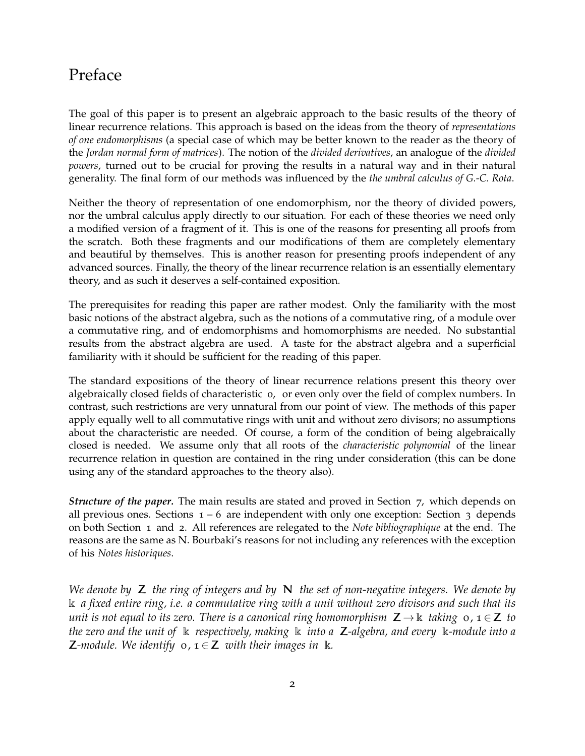# Preface

The goal of this paper is to present an algebraic approach to the basic results of the theory of linear recurrence relations. This approach is based on the ideas from the theory of *representations of one endomorphisms* (a special case of which may be better known to the reader as the theory of the *Jordan normal form of matrices*). The notion of the *divided derivatives*, an analogue of the *divided powers*, turned out to be crucial for proving the results in a natural way and in their natural generality. The final form of our methods was influenced by the *the umbral calculus of G.-C. Rota*.

Neither the theory of representation of one endomorphism, nor the theory of divided powers, nor the umbral calculus apply directly to our situation. For each of these theories we need only a modified version of a fragment of it. This is one of the reasons for presenting all proofs from the scratch. Both these fragments and our modifications of them are completely elementary and beautiful by themselves. This is another reason for presenting proofs independent of any advanced sources. Finally, the theory of the linear recurrence relation is an essentially elementary theory, and as such it deserves a self-contained exposition.

The prerequisites for reading this paper are rather modest. Only the familiarity with the most basic notions of the abstract algebra, such as the notions of a commutative ring, of a module over a commutative ring, and of endomorphisms and homomorphisms are needed. No substantial results from the abstract algebra are used. A taste for the abstract algebra and a superficial familiarity with it should be sufficient for the reading of this paper.

The standard expositions of the theory of linear recurrence relations present this theory over algebraically closed fields of characteristic 0, or even only over the field of complex numbers. In contrast, such restrictions are very unnatural from our point of view. The methods of this paper apply equally well to all commutative rings with unit and without zero divisors; no assumptions about the characteristic are needed. Of course, a form of the condition of being algebraically closed is needed. We assume only that all roots of the *characteristic polynomial* of the linear recurrence relation in question are contained in the ring under consideration (this can be done using any of the standard approaches to the theory also).

*Structure of the paper.* The main results are stated and proved in Section 7, which depends on all previous ones. Sections  $1 - 6$  are independent with only one exception: Section 3 depends on both Section 1 and 2. All references are relegated to the *Note bibliographique* at the end. The reasons are the same as N. Bourbaki's reasons for not including any references with the exception of his *Notes historiques*.

*We denote by* Z *the ring of integers and by* N *the set of non-negative integers. We denote by* k *a fixed entire ring, i.e. a commutative ring with a unit without zero divisors and such that its unit is not equal to its zero. There is a canonical ring homomorphism*  $Z \rightarrow \mathbb{k}$  *taking* 0, 1  $\in Z$  *to the zero and the unit of* k *respectively, making* k *into a* Z*-algebra, and every* k*-module into a* **Z**-module. We identify  $o, i \in \mathbb{Z}$  with their images in  $\mathbb{R}$ .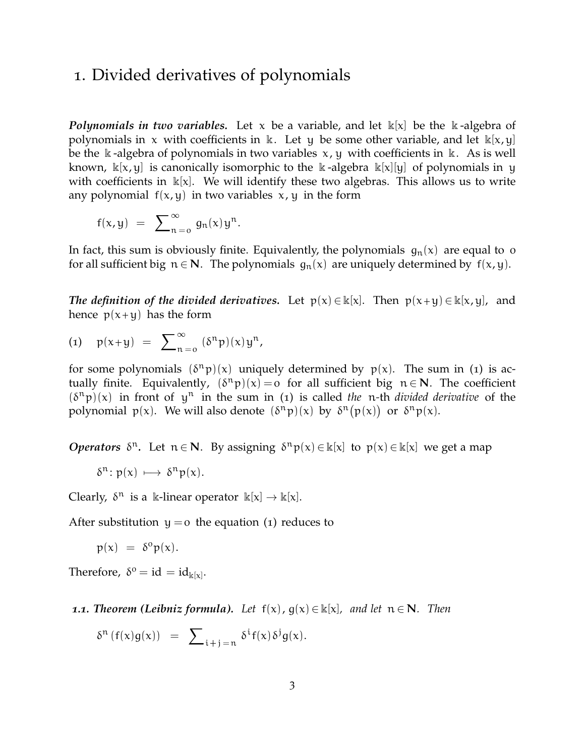## 1. Divided derivatives of polynomials

*Polynomials in two variables.* Let x be a variable, and let  $\mathbb{k}[x]$  be the  $\mathbb{k}$ -algebra of polynomials in x with coefficients in k. Let y be some other variable, and let  $\mathbb{k}[x, y]$ be the k-algebra of polynomials in two variables  $x, y$  with coefficients in k. As is well known,  $\kappa[x, y]$  is canonically isomorphic to the  $\kappa$ -algebra  $\kappa[x][y]$  of polynomials in y with coefficients in  $\kappa[x]$ . We will identify these two algebras. This allows us to write any polynomial  $f(x, y)$  in two variables  $x, y$  in the form

$$
f(x,y) = \sum_{n=0}^{\infty} g_n(x) y^n.
$$

In fact, this sum is obviously finite. Equivalently, the polynomials  $g_n(x)$  are equal to 0 for all sufficient big  $n \in \mathbb{N}$ . The polynomials  $q_n(x)$  are uniquely determined by  $f(x, y)$ .

*The definition of the divided derivatives.* Let  $p(x) \in \mathbb{k}[x]$ . Then  $p(x+y) \in \mathbb{k}[x,y]$ , and hence  $p(x+y)$  has the form

$$
(1) \quad p(x+y) = \sum_{n=0}^{\infty} (\delta^n p)(x) y^n,
$$

for some polynomials  $(\delta^n p)(x)$  uniquely determined by  $p(x)$ . The sum in (1) is actually finite. Equivalently,  $(\delta^n p)(x) = o$  for all sufficient big  $n \in \mathbb{N}$ . The coefficient  $(\delta^n p)(x)$  in front of  $y^n$  in the sum in (1) is called *the* n-th *divided derivative* of the polynomial  $p(x)$ . We will also denote  $(\delta^n p)(x)$  by  $\delta^n(p(x))$  or  $\delta^n p(x)$ .

*Operators*  $\delta^n$ . Let  $n \in \mathbb{N}$ . By assigning  $\delta^n p(x) \in \mathbb{k}[x]$  to  $p(x) \in \mathbb{k}[x]$  we get a map

$$
\delta^n\colon p(x)\;\longmapsto\;\delta^n p(x).
$$

Clearly,  $\delta^n$  is a k-linear operator  $\mathbb{k}[x] \to \mathbb{k}[x]$ .

After substitution  $y = o$  the equation (1) reduces to

$$
p(x) = \delta^o p(x).
$$

Therefore,  $\delta^0 = id = id_{\mathbb{k}[x]}$ .

#### *1.1. Theorem (Leibniz formula). Let*  $f(x)$ ,  $g(x) \in \mathbb{k}[x]$ , *and let*  $n \in \mathbb{N}$ *. Then*

$$
\delta^n \left( f(x) g(x) \right) \;\; = \;\; \sum\nolimits_{i+j=n} \delta^i f(x) \, \delta^j g(x).
$$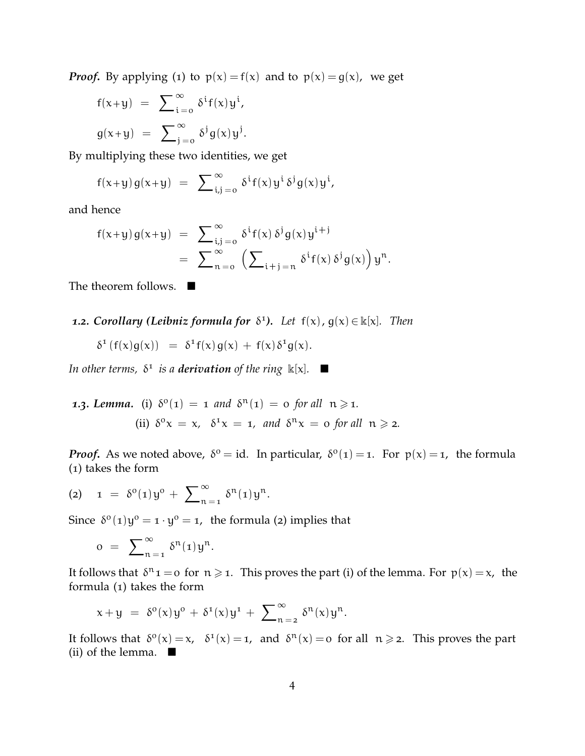*Proof.* By applying (1) to  $p(x) = f(x)$  and to  $p(x) = g(x)$ , we get

$$
f(x+y) = \sum_{i=0}^{\infty} \delta^{i} f(x) y^{i},
$$
  

$$
g(x+y) = \sum_{j=0}^{\infty} \delta^{j} g(x) y^{j}.
$$

By multiplying these two identities, we get

$$
f(x+y) g(x+y) = \sum_{i,j=0}^{\infty} \delta^{i} f(x) y^{i} \delta^{j} g(x) y^{i},
$$

and hence

$$
\begin{array}{lcl} f(x+y)\,g(x+y) & = & \displaystyle \sum_{i,j\, =\, 0}^{\infty}\, \delta^i f(x)\,\delta^j g(x) y^{i+j} \\ \\ & = & \displaystyle \sum_{n\, =\, 0}^{\infty}\, \left(\sum_{i+j\, =\, n}\, \delta^i f(x)\,\delta^j g(x)\right) y^n. \end{array}
$$

The theorem follows. ■

**1.2. Corollary (Leibniz formula for**  $\delta^1$ ). Let  $f(x)$ ,  $g(x) \in k[x]$ . Then

$$
\delta^1\left( f(x)g(x) \right) \,\,=\,\, \delta^1 f(x)\,g(x) \,+\, f(x)\,\delta^1 g(x).
$$

In other terms,  $\delta^1$  is a **derivation** of the ring  $\mathbb{k}[x]$ .

1.3. Lemma. (i) 
$$
\delta^0(\mathbf{1}) = \mathbf{1}
$$
 and  $\delta^n(\mathbf{1}) = \mathbf{0}$  for all  $\mathbf{n} \ge \mathbf{1}$ .  
\n(ii)  $\delta^0 x = x$ ,  $\delta^1 x = \mathbf{1}$ , and  $\delta^n x = \mathbf{0}$  for all  $\mathbf{n} \ge \mathbf{2}$ .

*Proof.* As we noted above,  $\delta^0 = id$ . In particular,  $\delta^0(1) = 1$ . For  $p(x) = 1$ , the formula (1) takes the form

$$
(2) \quad 1 = \delta^{0}(1)y^{0} + \sum_{n=1}^{\infty} \delta^{n}(1)y^{n}.
$$

Since  $\delta^0(1)y^0 = 1 \cdot y^0 = 1$ , the formula (2) implies that

$$
o = \sum_{n=1}^{\infty} \delta^n(i) y^n.
$$

It follows that  $\delta^n$ 1 = 0 for  $n \geq 1$ . This proves the part (i) of the lemma. For  $p(x) = x$ , the formula (1) takes the form

$$
x+y = \delta^{0}(x)y^{0} + \delta^{1}(x)y^{1} + \sum_{n=2}^{\infty} \delta^{n}(x)y^{n}.
$$

It follows that  $\delta^{\circ}(x) = x$ ,  $\delta^{\circ}(x) = 1$ , and  $\delta^{\circ}(x) = 0$  for all  $n \ge 2$ . This proves the part (ii) of the lemma.  $\blacksquare$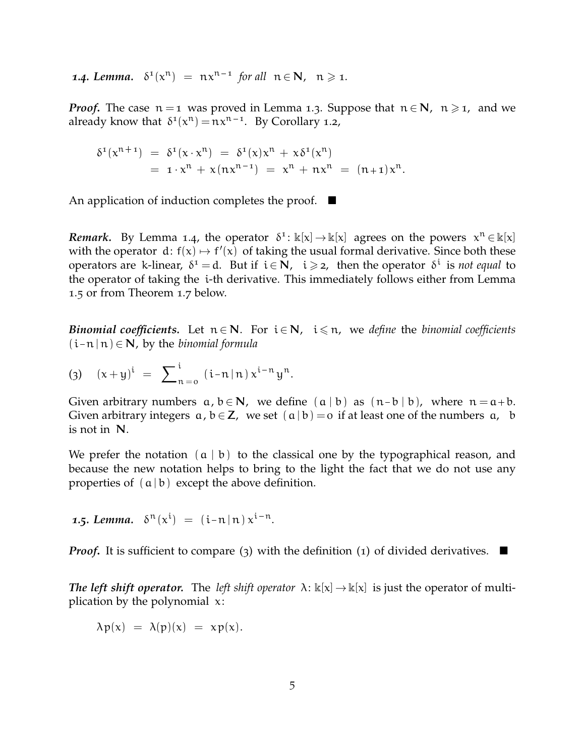**1.4. Lemma.**  $\delta^1(x^n) = nx^{n-1}$  for all  $n \in \mathbb{N}$ ,  $n \geq 1$ .

*Proof.* The case  $n = 1$  was proved in Lemma 1.3. Suppose that  $n \in \mathbb{N}$ ,  $n \ge 1$ , and we already know that  $\delta^1(x^n) = nx^{n-1}$ . By Corollary 1.2,

.

$$
\delta^{1}(x^{n+1}) = \delta^{1}(x \cdot x^{n}) = \delta^{1}(x)x^{n} + x\delta^{1}(x^{n})
$$
  
=  $1 \cdot x^{n} + x(nx^{n-1}) = x^{n} + nx^{n} = (n+1)x^{n}$ 

An application of induction completes the proof.  $\blacksquare$ 

*Remark.* By Lemma 1.4, the operator  $\delta^1$ :  $\mathbb{k}[\mathsf{x}] \to \mathbb{k}[\mathsf{x}]$  agrees on the powers  $\mathsf{x}^{\mathsf{n}} \in \mathbb{k}[\mathsf{x}]$ with the operator  $d: f(x) \mapsto f'(x)$  of taking the usual formal derivative. Since both these operators are k-linear,  $\delta^1 = d$ . But if  $i \in \mathbb{N}$ ,  $i \geq 2$ , then the operator  $\delta^i$  is *not equal* to the operator of taking the i-th derivative. This immediately follows either from Lemma 1.5 or from Theorem 1.7 below.

*Binomial coefficients.* Let  $n \in \mathbb{N}$ . For  $i \in \mathbb{N}$ ,  $i \leq n$ , we *define* the *binomial coefficients*  $(i - n | n) \in N$ , by the *binomial formula* 

$$
(3) \quad (x+y)^i = \sum_{n=0}^i (i-n \, | \, n) \, x^{i-n} \, y^n.
$$

Given arbitrary numbers  $a, b \in N$ , we define  $(a | b)$  as  $(n - b | b)$ , where  $n = a + b$ . Given arbitrary integers  $a, b \in \mathbb{Z}$ , we set  $(a | b) = o$  if at least one of the numbers  $a, b$ is not in N.

We prefer the notation  $(a | b)$  to the classical one by the typographical reason, and because the new notation helps to bring to the light the fact that we do not use any properties of  $(a | b)$  except the above definition.

**1.5. Lemma.**  $\delta^{n}(x^{i}) = (i-n|n) x^{i-n}$ .

*Proof.* It is sufficient to compare (3) with the definition (1) of divided derivatives.  $\blacksquare$ 

*The left shift operator.* The *left shift operator*  $\lambda: \mathbb{k}[x] \to \mathbb{k}[x]$  is just the operator of multiplication by the polynomial  $x$ :

$$
\lambda p(x) = \lambda(p)(x) = x p(x).
$$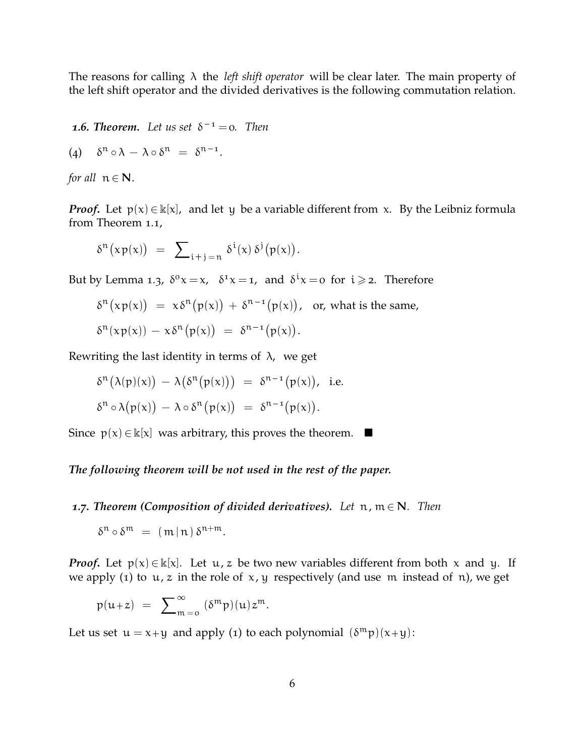The reasons for calling λ the *left shift operator* will be clear later. The main property of the left shift operator and the divided derivatives is the following commutation relation.

*1.6. Theorem.* Let us set  $\delta^{-1} = 0$ . Then

$$
(4) \quad \delta^{n} \circ \lambda - \lambda \circ \delta^{n} = \delta^{n-1}.
$$

*for all*  $n \in \mathbb{N}$ .

*Proof*. Let  $p(x) \in \mathbb{k}[x]$ , and let y be a variable different from x. By the Leibniz formula from Theorem 1.1,

$$
\delta^n\bigl(\text{\tt x}\, {\sf p}(\text{\tt x})\bigr)\ =\ \sum\nolimits_{i+j\, =\, n}\, \delta^i(\text{\tt x})\, \delta^j\bigl(\text{\tt p}(\text{\tt x})\bigr).
$$

But by Lemma 1.3,  $\delta^0 x = x$ ,  $\delta^1 x = 1$ , and  $\delta^i x = 0$  for  $i \ge 2$ . Therefore

$$
\delta^n \big( x p(x) \big) = x \delta^n \big( p(x) \big) + \delta^{n-1} \big( p(x) \big), \text{ or, what is the same,}
$$
  

$$
\delta^n \big( x p(x) \big) - x \delta^n \big( p(x) \big) = \delta^{n-1} \big( p(x) \big).
$$

Rewriting the last identity in terms of  $\lambda$ , we get

$$
\delta^{n}(\lambda(p)(x)) - \lambda(\delta^{n}(p(x))) = \delta^{n-1}(p(x)), \text{ i.e.}
$$
  

$$
\delta^{n} \circ \lambda(p(x)) - \lambda \circ \delta^{n}(p(x)) = \delta^{n-1}(p(x)).
$$

Since  $p(x) \in \mathbb{k}[x]$  was arbitrary, this proves the theorem. ■

*The following theorem will be not used in the rest of the paper.*

*1.7. Theorem (Composition of divided derivatives).* **Let**  $n, m \in \mathbb{N}$ **. Then** 

$$
\delta^n\circ\delta^m\ =\ (\,m\,|\,n\,)\,\delta^{n+m}.
$$

*Proof*. Let  $p(x) \in \mathbb{k}[x]$ . Let  $u, z$  be two new variables different from both x and y. If we apply (1) to  $u, z$  in the role of  $x, y$  respectively (and use m instead of n), we get

$$
p(u+z) = \sum_{m=0}^{\infty} (\delta^m p)(u) z^m.
$$

Let us set  $u = x + y$  and apply (1) to each polynomial  $(\delta^m p)(x + y)$ :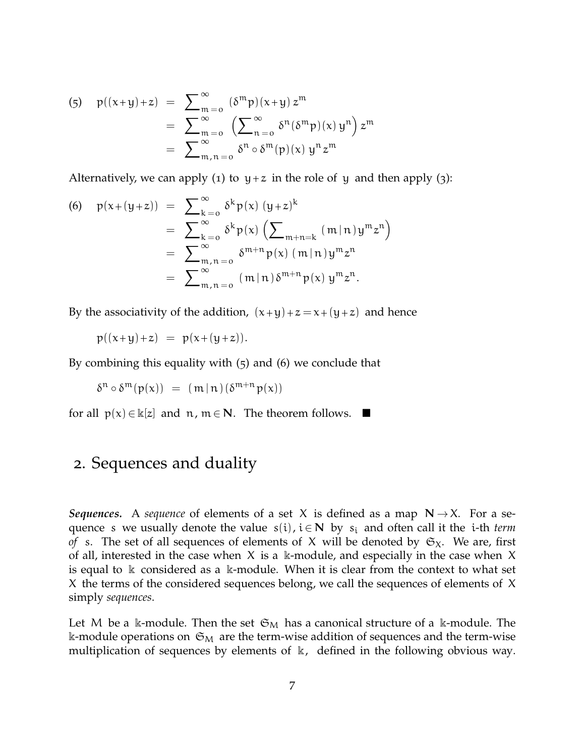(5) 
$$
p((x+y)+z) = \sum_{m=0}^{\infty} \frac{(\delta^m p)(x+y) z^m}{\sum_{m=0}^{\infty} (\sum_{n=0}^{\infty} \delta^n (\delta^m p)(x) y^n) z^m}
$$

$$
= \sum_{m,n=0}^{\infty} \frac{\delta^n \circ \delta^m(p)(x) y^n z^m}{\delta^n}
$$

Alternatively, we can apply (1) to  $y + z$  in the role of y and then apply (3):

(6) 
$$
p(x+(y+z)) = \sum_{k=0}^{\infty} \delta^k p(x) (y+z)^k
$$
  
\t\t\t\t $= \sum_{k=0}^{\infty} \delta^k p(x) (\sum_{m+n=k} (m|n) y^m z^n)$   
\t\t\t\t $= \sum_{m,n=0}^{\infty} \delta^{m+n} p(x) (m|n) y^m z^n$   
\t\t\t\t $= \sum_{m,n=0}^{\infty} (m|n) \delta^{m+n} p(x) y^m z^n$ .

By the associativity of the addition,  $(x+y)+z=x+(y+z)$  and hence

$$
p((x+y)+z) = p(x+(y+z)).
$$

By combining this equality with (5) and (6) we conclude that

$$
\delta^n \circ \delta^m(p(x)) = (m \,|\, n\,)(\delta^{m+n} p(x))
$$

for all  $p(x) \in \mathbb{k}[z]$  and  $n, m \in \mathbb{N}$ . The theorem follows.  $\blacksquare$ 

## 2. Sequences and duality

*Sequences.* A *sequence* of elements of a set X is defined as a map  $N \rightarrow X$ . For a sequence s we usually denote the value  $s(i)$ ,  $i \in \mathbb{N}$  by  $s_i$  and often call it the *i*-th *term of* s. The set of all sequences of elements of X will be denoted by  $\mathfrak{S}_X$ . We are, first of all, interested in the case when  $X$  is a k-module, and especially in the case when  $X$ is equal to  $\&$  considered as a  $\&$ -module. When it is clear from the context to what set X the terms of the considered sequences belong, we call the sequences of elements of X simply *sequences*.

Let M be a k-module. Then the set  $\mathfrak{S}_M$  has a canonical structure of a k-module. The k-module operations on  $\mathfrak{S}_M$  are the term-wise addition of sequences and the term-wise multiplication of sequences by elements of  $\mathbb{k}$ , defined in the following obvious way.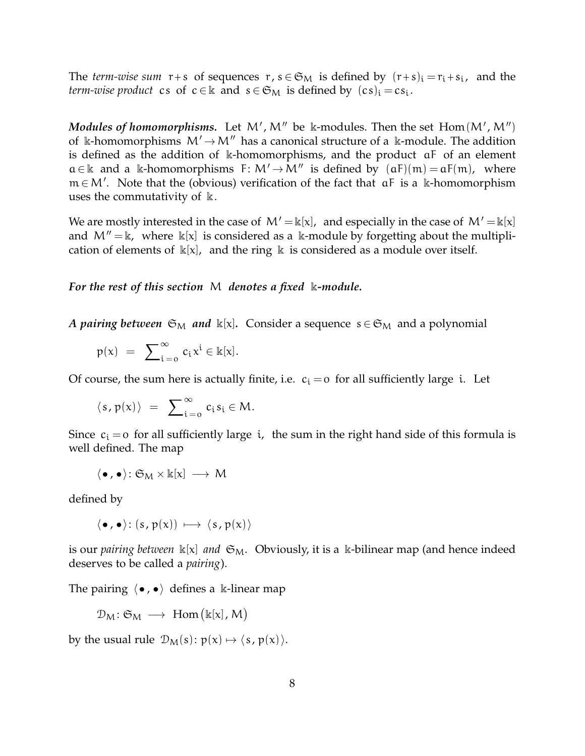The *term-wise sum*  $r+s$  of sequences  $r, s \in \mathfrak{S}_M$  is defined by  $(r+s)_i = r_i + s_i$ , and the *term-wise product* cs of  $c \in \mathbb{k}$  and  $s \in \mathfrak{S}_M$  is defined by  $(c s)_i = c s_i$ .

*Modules of homomorphisms.* Let  $M'$ ,  $M''$  be k-modules. Then the set  $Hom(M', M'')$ of k-homomorphisms  $M' \rightarrow M''$  has a canonical structure of a k-module. The addition is defined as the addition of k-homomorphisms, and the product aF of an element  $a \in \mathbb{k}$  and a k-homomorphisms F:  $M' \rightarrow M''$  is defined by  $(aF)(m) = aF(m)$ , where m ∈ M'. Note that the (obvious) verification of the fact that  $aF$  is a k-homomorphism uses the commutativity of  $\mathbb{k}$ .

We are mostly interested in the case of  $M' = \mathbb{k}[x]$ , and especially in the case of  $M' = \mathbb{k}[x]$ and  $M'' = \mathbb{k}$ , where  $\mathbb{k}[x]$  is considered as a k-module by forgetting about the multiplication of elements of  $\kappa[x]$ , and the ring  $\kappa$  is considered as a module over itself.

*For the rest of this section* M *denotes a fixed* k*-module.*

*A pairing between*  $\mathfrak{S}_M$  *and*  $\mathbb{k}[x]$ . Consider a sequence  $s \in \mathfrak{S}_M$  and a polynomial

$$
p(x) = \sum_{i=0}^{\infty} c_i x^i \in \Bbbk[x].
$$

Of course, the sum here is actually finite, i.e.  $c_i = o$  for all sufficiently large i. Let

$$
\langle\, s\, ,\, p(x)\,\rangle\ =\ \sum\nolimits_{i\,=\,0}^\infty\, c_i\, s_i\in M.
$$

Since  $c_i = o$  for all sufficiently large *i*, the sum in the right hand side of this formula is well defined. The map

$$
\langle\bullet,\bullet\rangle\colon \mathfrak{S}_M\times \Bbbk[x]\,\longrightarrow\, M
$$

defined by

$$
\langle \bullet, \bullet \rangle : (s, p(x)) \longmapsto \langle s, p(x) \rangle
$$

is our *pairing between*  $\mathbb{k}[x]$  *and*  $\mathfrak{S}_M$ . Obviously, it is a  $\mathbb{k}$ -bilinear map (and hence indeed deserves to be called a *pairing*).

The pairing  $\langle \bullet, \bullet \rangle$  defines a k-linear map

$$
\mathcal{D}_M \colon \mathfrak{S}_M \ \longrightarrow \ \text{Hom}\big(\Bbbk[x]\,,\,M\big)
$$

by the usual rule  $\mathcal{D}_M(s)$ :  $p(x) \mapsto \langle s, p(x) \rangle$ .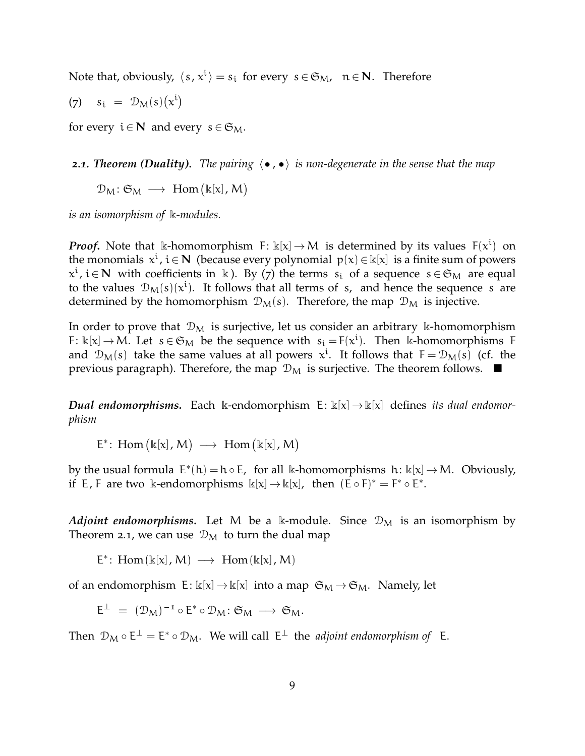Note that, obviously,  $\langle s, x^i \rangle = s_i$  for every  $s \in \mathfrak{S}_M$ ,  $n \in \mathbb{N}$ . Therefore

$$
(7) \quad s_i = \mathcal{D}_M(s)(x^i)
$$

for every  $i \in \mathbb{N}$  and every  $s \in \mathfrak{S}_M$ .

**2.1. Theorem (Duality).** The pairing  $\langle \bullet, \bullet \rangle$  is non-degenerate in the sense that the map

 $\mathcal{D}_M \colon \mathfrak{S}_M \longrightarrow \text{Hom}(\Bbbk[x], M)$ 

*is an isomorphism of* k*-modules.*

*Proof*. Note that k-homomorphism  $F: \kappa[x] \to M$  is determined by its values  $F(x^i)$  on the monomials  $x^i$ ,  $i \in N$  (because every polynomial  $p(x) \in k[x]$  is a finite sum of powers  $x^i$ ,  $i \in \mathbb{N}$  with coefficients in k ). By (7) the terms  $s_i$  of a sequence  $s \in \mathfrak{S}_M$  are equal to the values  $\mathcal{D}_M(s)(x^i)$ . It follows that all terms of s, and hence the sequence s are determined by the homomorphism  $\mathcal{D}_M(s)$ . Therefore, the map  $\mathcal{D}_M$  is injective.

In order to prove that  $\mathcal{D}_M$  is surjective, let us consider an arbitrary k-homomorphism F:  $\Bbbk[x] \to M$ . Let  $s \in \mathfrak{S}_M$  be the sequence with  $s_i = F(x^i)$ . Then k-homomorphisms F and  $\mathcal{D}_M(s)$  take the same values at all powers  $x^i$ . It follows that  $F = \mathcal{D}_M(s)$  (cf. the previous paragraph). Therefore, the map  $\mathcal{D}_M$  is surjective. The theorem follows.  $\blacksquare$ 

*Dual endomorphisms.* Each k-endomorphism  $E: \kappa[x] \to \kappa[x]$  defines *its dual endomorphism*

 $E^*$ : Hom  $(\mathbb{k}[x], M) \longrightarrow$  Hom  $(\mathbb{k}[x], M)$ 

by the usual formula  $E^*(h) = h \circ E$ , for all k-homomorphisms  $h: \kappa[x] \to M$ . Obviously, if E, F are two k-endomorphisms  $\Bbbk[x] \to \Bbbk[x]$ , then  $(\bar{E} \circ F)^* = F^* \circ E^*$ .

*Adjoint endomorphisms.* Let M be a k-module. Since  $\mathcal{D}_M$  is an isomorphism by Theorem 2.1, we can use  $\mathcal{D}_M$  to turn the dual map

 $E^*$ : Hom( $\mathbb{k}[x]$ , M)  $\longrightarrow$  Hom( $\mathbb{k}[x]$ , M)

of an endomorphism  $E: \mathbb{k}[x] \to \mathbb{k}[x]$  into a map  $\mathfrak{S}_M \to \mathfrak{S}_M$ . Namely, let

$$
\mathsf{E}^\perp \;=\; (\mathcal{D}_\mathsf{M})^{-1} \circ \mathsf{E}^* \circ \mathcal{D}_\mathsf{M} \colon \mathfrak{S}_\mathsf{M} \; \longrightarrow \; \mathfrak{S}_\mathsf{M}.
$$

Then  $\mathcal{D}_M \circ E^{\perp} = E^* \circ \mathcal{D}_M$ . We will call  $E^{\perp}$  the *adjoint endomorphism of* E.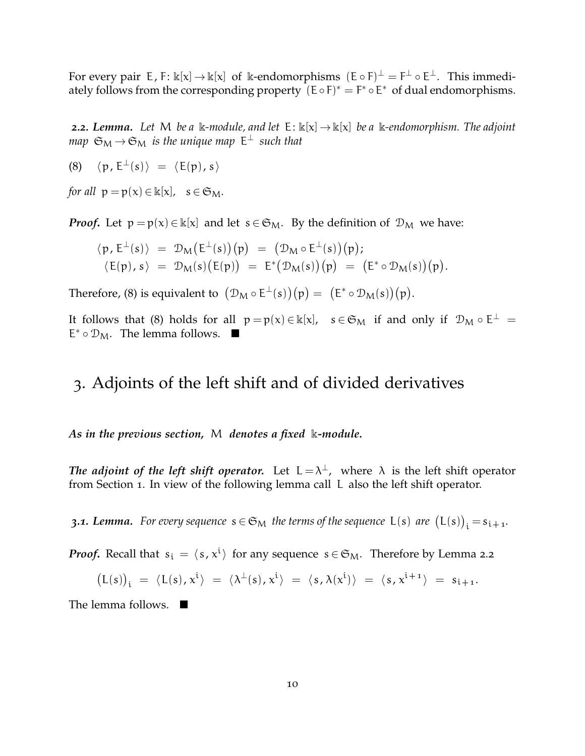For every pair E, F:  $\Bbbk[x]\to \Bbbk[x]$  of  $\Bbbk$ -endomorphisms  $(\Bbb E\circ \Bbb F)^\perp=\Bbb F^\perp\circ \Bbb E^\perp$ . This immediately follows from the corresponding property  $(E \circ F)^* = F^* \circ E^*$  of dual endomorphisms.

**2.2.** Lemma. Let M be a k-module, and let  $E: \kappa[x] \to \kappa[x]$  be a k-endomorphism. The adjoint map  $\mathfrak{S}_\mathsf{M}\to\mathfrak{S}_\mathsf{M}$  is the unique map  $\mathsf{E}^\perp$  such that

(8)  $\langle p, E^{\perp}(s) \rangle = \langle E(p), s \rangle$ 

*for all*  $p = p(x) \in \mathbb{k}[x]$ ,  $s \in \mathfrak{S}_M$ .

*Proof*. Let  $p = p(x) \in \mathbb{k}[x]$  and let  $s \in \mathfrak{S}_M$ . By the definition of  $\mathcal{D}_M$  we have:

$$
\begin{array}{rcl}\langle \mathfrak{p}, \mathsf{E}^\perp(s) \rangle & = & \mathcal{D}_\mathsf{M}\big(\mathsf{E}^\perp(s)\big) \big(\mathfrak{p}\big) \; = \; \big(\mathcal{D}_\mathsf{M} \circ \mathsf{E}^\perp(s)\big) \big(\mathfrak{p}\big); \\ \langle \mathsf{E}(\mathfrak{p}), s \rangle & = & \mathcal{D}_\mathsf{M}(s)\big(\mathsf{E}(\mathfrak{p})\big) \; = \; \mathsf{E}^*\big(\mathcal{D}_\mathsf{M}(s)\big) \big(\mathfrak{p}\big) \; = \; \big(\mathsf{E}^* \circ \mathcal{D}_\mathsf{M}(s)\big) \big(\mathfrak{p}\big). \end{array}
$$

Therefore, (8) is equivalent to  $(\mathcal{D}_M \circ E^{\perp}(s)) (p) = (E^* \circ \mathcal{D}_M(s)) (p)$ .

It follows that (8) holds for all  $p = p(x) \in \mathbb{k}[x]$ ,  $s \in \mathfrak{S}_M$  if and only if  $\mathcal{D}_M \circ E^{\perp} =$ E<sup>\*</sup> ∘  $\mathcal{D}_M$ . The lemma follows. ■

#### 3. Adjoints of the left shift and of divided derivatives

*As in the previous section,* M *denotes a fixed* k*-module.*

*The adjoint of the left shift operator.* Let  $L = \lambda^{\perp}$ , where  $\lambda$  is the left shift operator from Section 1. In view of the following lemma call L also the left shift operator.

**3.1. Lemma.** For every sequence  $s \in \mathfrak{S}_M$  the terms of the sequence  $\mathsf{L}(s)$  are  $\bigl(\mathsf{L}(s)\bigr)_i\! = \!s_{i+1}.$ 

*Proof*. Recall that  $s_i = \langle s, x^i \rangle$  for any sequence  $s \in \mathfrak{S}_M$ . Therefore by Lemma 2.2

$$
\bigl(L(s)\bigr)_i \ = \ \langle L(s), x^i \rangle \ = \ \langle \lambda^\perp(s), x^i \rangle \ = \ \langle \, s \, , \lambda(x^i) \, \rangle \ = \ \langle \, s \, , \, x^{i+1} \, \rangle \ = \ s_{i+1}.
$$

The lemma follows.  $\blacksquare$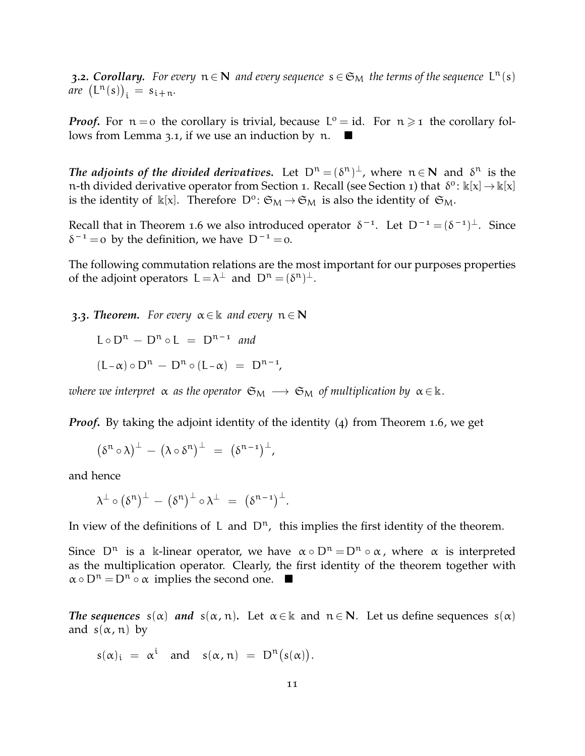**3.2. Corollary.** For every  $n \in \mathbb{N}$  and every sequence  $s \in \mathfrak{S}_M$  the terms of the sequence  $L^n(s)$  $are \left(L^{n}(s)\right)_{i} = s_{i+n}.$ 

*Proof.* For  $n = o$  the corollary is trivial, because  $L^o = id$ . For  $n \geq 1$  the corollary follows from Lemma 3.1, if we use an induction by  $\mathfrak{n}$ .

The adjoints of the divided derivatives. Let  $D^n = (\delta^n)^{\perp}$ , where  $n \in \mathbb{N}$  and  $\delta^n$  is the n-th divided derivative operator from Section 1. Recall (see Section 1) that  $\delta^o$ :  $\mathbb{k}[x] \to \mathbb{k}[x]$ is the identity of  $\kappa[x]$ . Therefore  $D^{\circ}$ :  $\mathfrak{S}_{M} \to \mathfrak{S}_{M}$  is also the identity of  $\mathfrak{S}_{M}$ .

Recall that in Theorem 1.6 we also introduced operator  $\delta^{-1}$ . Let  $D^{-1} = (\delta^{-1})^{\perp}$ . Since  $\delta^{-1}$  = 0 by the definition, we have  $D^{-1}$  = 0.

The following commutation relations are the most important for our purposes properties of the adjoint operators  $L = \lambda^{\perp}$  and  $D^n = (\delta^n)^{\perp}$ .

**3.3.** Theorem. For every  $\alpha \in \mathbb{k}$  and every  $n \in \mathbb{N}$ 

 $L \circ D^n - D^n \circ L = D^{n-1}$  and  $(L-\alpha) \circ D^{n} - D^{n} \circ (L-\alpha) = D^{n-1}$ 

*where we interpret*  $\alpha$  *as the operator*  $\mathfrak{S}_M \longrightarrow \mathfrak{S}_M$  *of multiplication by*  $\alpha \in \mathbb{k}$ *.* 

*Proof.* By taking the adjoint identity of the identity (4) from Theorem 1.6, we get

$$
(\delta^n \circ \lambda)^{\perp} - (\lambda \circ \delta^n)^{\perp} = (\delta^{n-1})^{\perp},
$$

and hence

$$
\lambda^{\perp} \circ (\delta^n)^{\perp} - (\delta^n)^{\perp} \circ \lambda^{\perp} = (\delta^{n-1})^{\perp}.
$$

In view of the definitions of L and  $D^n$ , this implies the first identity of the theorem.

Since  $D^n$  is a k-linear operator, we have  $\alpha \circ D^n = D^n \circ \alpha$ , where  $\alpha$  is interpreted as the multiplication operator. Clearly, the first identity of the theorem together with  $\alpha \circ D^n = D^n \circ \alpha$  implies the second one.  $\blacksquare$ 

*The sequences*  $s(\alpha)$  *and*  $s(\alpha, n)$ *.* Let  $\alpha \in \mathbb{R}$  and  $n \in \mathbb{N}$ *.* Let us define sequences  $s(\alpha)$ and  $s(\alpha, n)$  by

$$
s(\alpha)_i = \alpha^i \quad \text{and} \quad s(\alpha, n) = D^n(s(\alpha)).
$$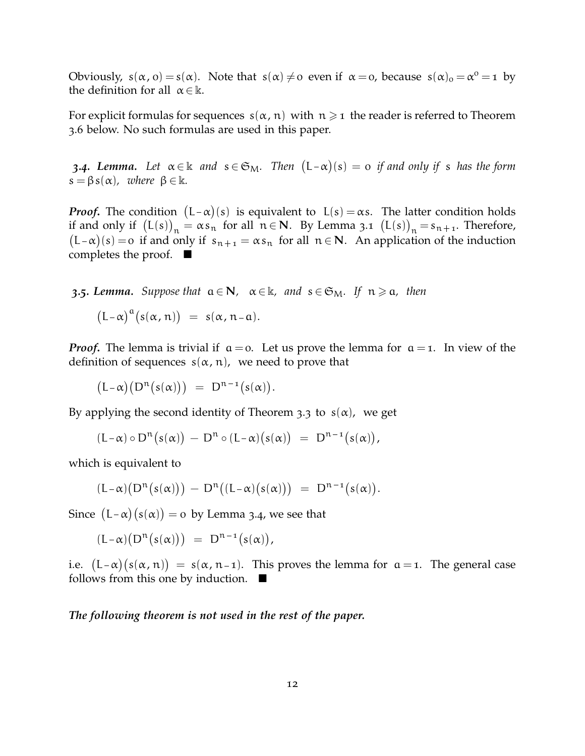Obviously,  $s(\alpha, 0) = s(\alpha)$ . Note that  $s(\alpha) \neq 0$  even if  $\alpha = 0$ , because  $s(\alpha)_0 = \alpha^0 = 1$  by the definition for all  $\alpha \in \mathbb{k}$ .

For explicit formulas for sequences  $s(\alpha, n)$  with  $n \geq 1$  the reader is referred to Theorem 3.6 below. No such formulas are used in this paper.

**3.4. Lemma.** Let  $\alpha \in \mathbb{k}$  and  $s \in \mathfrak{S}_M$ . Then  $(L-\alpha)(s) = o$  if and only if s has the form  $s = \beta s(\alpha)$ , where  $\beta \in \mathbb{k}$ .

*Proof*. The condition  $(L-\alpha)(s)$  is equivalent to  $L(s) = \alpha s$ . The latter condition holds if and only if  $(L(s))_n = \alpha s_n$  for all  $n \in \mathbb{N}$ . By Lemma 3.1  $(L(s))_n = s_{n+1}$ . Therefore,  $(L-\alpha)(s) = o$  if and only if  $s_{n+1} = \alpha s_n$  for all  $n \in \mathbb{N}$ . An application of the induction completes the proof.  $\blacksquare$ 

**3.5***.* Lemma. Suppose that  $a \in N$ ,  $\alpha \in \mathbb{k}$ , and  $s \in \mathfrak{S}_M$ . If  $n \ge a$ , then

$$
(L-\alpha)^{\alpha}(s(\alpha, n)) = s(\alpha, n-a).
$$

*Proof.* The lemma is trivial if  $a = 0$ . Let us prove the lemma for  $a = 1$ . In view of the definition of sequences  $s(\alpha, n)$ , we need to prove that

$$
\bigl(L-\alpha\bigr)\bigl(D^n\bigl(s(\alpha)\bigr)\bigr)\ =\ D^{n-1}\bigl(s(\alpha)\bigr).
$$

By applying the second identity of Theorem 3.3 to  $s(\alpha)$ , we get

$$
(L-\alpha) \circ D^{n}(s(\alpha)) - D^{n} \circ (L-\alpha)(s(\alpha)) = D^{n-1}(s(\alpha)),
$$

which is equivalent to

$$
(L-\alpha)\big(D^n\big(s(\alpha)\big)\big) \, - \, D^n\big((L-\alpha)\big(s(\alpha)\big)\big) \ = \ D^{n-1}\big(s(\alpha)\big).
$$

Since  $(L-\alpha)(s(\alpha)) = o$  by Lemma 3.4, we see that

$$
(L-\alpha)\big(D^n\big(s(\alpha)\big)\big) \ = \ D^{n-1}\big(s(\alpha)\big),
$$

i.e.  $(L-\alpha)(s(\alpha, n)) = s(\alpha, n-1)$ . This proves the lemma for  $\alpha = 1$ . The general case follows from this one by induction.  $\blacksquare$ 

*The following theorem is not used in the rest of the paper.*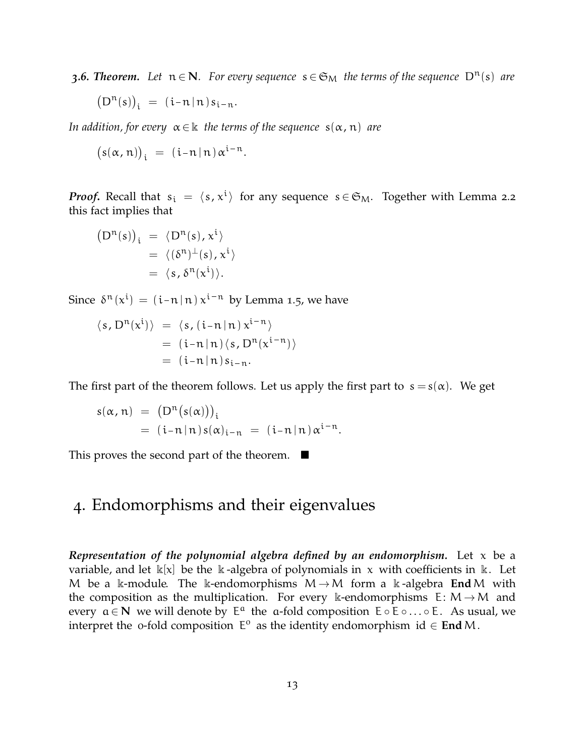*3.6. Theorem.* Let  $n \in N$ *. For every sequence*  $s \in \mathfrak{S}_M$  *the terms of the sequence*  $D^n(s)$  *are* 

$$
\big(D^n(s)\big)_i \ = \ (i\hbox{-} n\,|\, n\,) \, s_{i\hbox{-} n}.
$$

*In addition, for every*  $\alpha \in \mathbb{k}$  *the terms of the sequence*  $s(\alpha, n)$  *are* 

.

$$
(s(\alpha, n))_i = (i-n \, | \, n) \, \alpha^{i-n}
$$

*Proof*. Recall that  $s_i = \langle s, x^i \rangle$  for any sequence  $s \in \mathfrak{S}_M$ . Together with Lemma 2.2 this fact implies that

$$
(D^{n}(s))_{i} = \langle D^{n}(s), x^{i} \rangle
$$
  
=  $\langle (\delta^{n})^{\perp}(s), x^{i} \rangle$   
=  $\langle s, \delta^{n}(x^{i}) \rangle$ .

Since  $\delta^{n}(x^{i}) = (i-n \mid n) x^{i-n}$  by Lemma 1.5, we have

$$
\langle s, D^{n}(x^{i}) \rangle = \langle s, (i-n|n) x^{i-n} \rangle
$$
  
=  $(i-n|n) \langle s, D^{n}(x^{i-n}) \rangle$   
=  $(i-n|n) s_{i-n}.$ 

The first part of the theorem follows. Let us apply the first part to  $s = s(\alpha)$ . We get

$$
s(\alpha, n) = (D^{n}(s(\alpha)))_{i}
$$
  
=  $(i-n|n) s(\alpha)_{i-n} = (i-n|n) \alpha^{i-n}.$ 

This proves the second part of the theorem.  $\blacksquare$ 

## 4. Endomorphisms and their eigenvalues

*Representation of the polynomial algebra defined by an endomorphism.* Let x be a variable, and let  $\mathbb{k}[x]$  be the  $\mathbb{k}$ -algebra of polynomials in x with coefficients in  $\mathbb{k}$ . Let M be a k-module. The k-endomorphisms  $M \rightarrow M$  form a k-algebra **End** M with the composition as the multiplication. For every k-endomorphisms  $E: M \rightarrow M$  and every  $a \in N$  we will denote by  $E^a$  the a-fold composition  $E \circ E \circ \ldots \circ E$ . As usual, we interpret the o-fold composition  $E^{\circ}$  as the identity endomorphism  $id \in End M$ .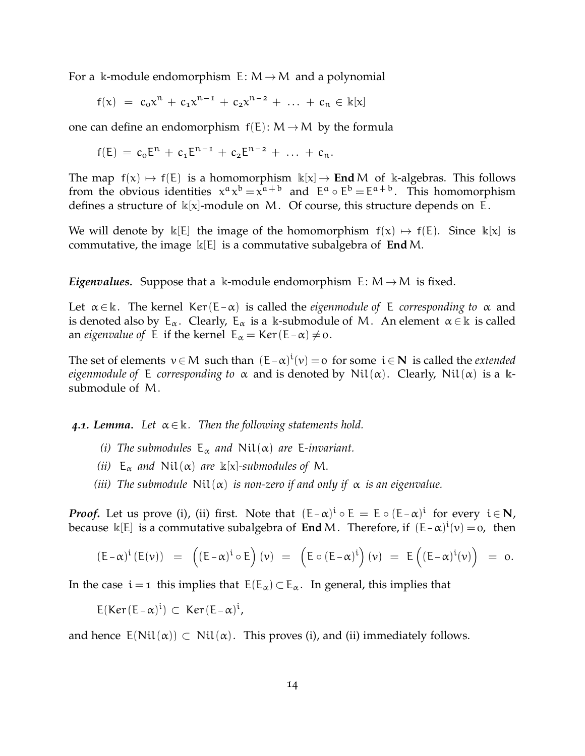For a k-module endomorphism  $E: M \rightarrow M$  and a polynomial

 $f(x) = c_0 x^n + c_1 x^{n-1} + c_2 x^{n-2} + \dots + c_n \in \mathbb{k}[x]$ 

one can define an endomorphism  $f(E)$ :  $M \rightarrow M$  by the formula

$$
f(E) = c_0 E^n + c_1 E^{n-1} + c_2 E^{n-2} + \ldots + c_n.
$$

The map  $f(x) \mapsto f(E)$  is a homomorphism  $k[x] \rightarrow \text{End }M$  of k-algebras. This follows from the obvious identities  $x^{\alpha}x^{\beta} = x^{\alpha+\beta}$  and  $E^{\alpha} \circ E^{\beta} = E^{\alpha+\beta}$ . This homomorphism defines a structure of  $k[x]$ -module on M. Of course, this structure depends on E.

We will denote by  $\kappa[E]$  the image of the homomorphism  $f(x) \mapsto f(E)$ . Since  $\kappa[x]$  is commutative, the image k[E] is a commutative subalgebra of **End**M.

*Eigenvalues.* Suppose that a k-module endomorphism  $E: M \rightarrow M$  is fixed.

Let  $\alpha \in \mathbb{k}$ . The kernel Ker(E- $\alpha$ ) is called the *eigenmodule of* E *corresponding to*  $\alpha$  and is denoted also by  $E_{\alpha}$ . Clearly,  $E_{\alpha}$  is a k-submodule of M. An element  $\alpha \in \mathbb{k}$  is called an *eigenvalue of* E if the kernel  $E_{\alpha} = \text{Ker}(E - \alpha) \neq 0$ .

The set of elements  $v \in M$  such than  $(E - \alpha)^{i}(v) = o$  for some  $i \in N$  is called the *extended eigenmodule of* E *corresponding to*  $\alpha$  and is denoted by Nil( $\alpha$ ). Clearly, Nil( $\alpha$ ) is a ksubmodule of M.

**4.1. Lemma.** Let  $\alpha \in \mathbb{k}$ . Then the following statements hold.

- *(i)* The submodules  $E_{\alpha}$  and  $Nil(\alpha)$  are E-invariant.
- *(ii)*  $E_{\alpha}$  *and*  $Nil(\alpha)$  *are*  $\mathbb{k}[x]$ *-submodules of* M.
- (*iii*) The submodule  $Nil(\alpha)$  *is non-zero if and only if*  $\alpha$  *is an eigenvalue.*

*Proof.* Let us prove (i), (ii) first. Note that  $(E-\alpha)^i \circ E = E \circ (E-\alpha)^i$  for every  $i \in N$ , because  $\kappa[E]$  is a commutative subalgebra of **End** M. Therefore, if  $(E-\alpha)^{i}(v) = 0$ , then

$$
\left(E-\alpha\right)^i\left(E(\nu)\right) \;\; = \;\; \left(\left(E-\alpha\right)^i\circ E\right)(\nu) \;\; = \;\; \left(E\circ\left(E-\alpha\right)^i\right)(\nu) \;\; = \;\; E\left(\left(E-\alpha\right)^i(\nu)\right) \;\; = \;\; o.
$$

In the case  $i = 1$  this implies that  $E(E_{\alpha}) \subset E_{\alpha}$ . In general, this implies that

 $E(Ker(E-\alpha)^i) \subset Ker(E-\alpha)^i$ ,

and hence  $E(Nil(\alpha)) \subset Nil(\alpha)$ . This proves (i), and (ii) immediately follows.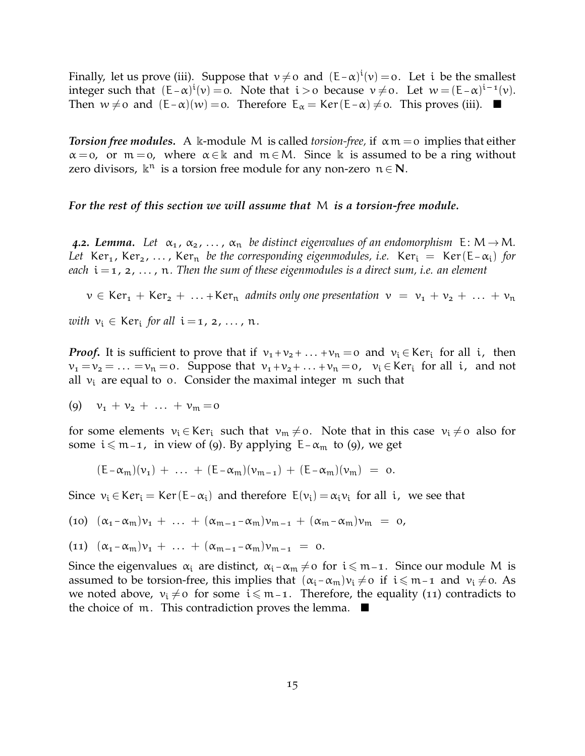Finally, let us prove (iii). Suppose that  $v \neq o$  and  $(E-\alpha)^{i}(v) = o$ . Let i be the smallest integer such that  $(E-\alpha)^{i}(v) = 0$ . Note that  $i > 0$  because  $v \neq 0$ . Let  $w = (E-\alpha)^{i-1}(v)$ . Then  $w \neq 0$  and  $(E - \alpha)(w) = 0$ . Therefore  $E_{\alpha} = \text{Ker}(E - \alpha) \neq 0$ . This proves (iii).

*Torsion free modules.* A k-module M is called *torsion-free,* if αm = 0 implies that either  $\alpha = 0$ , or  $m = 0$ , where  $\alpha \in \mathbb{k}$  and  $m \in M$ . Since k is assumed to be a ring without zero divisors,  $\mathbb{k}^n$  is a torsion free module for any non-zero  $n \in \mathbb{N}$ .

*For the rest of this section we will assume that* M *is a torsion-free module.*

**4.2. Lemma.** Let  $\alpha_1, \alpha_2, \ldots, \alpha_n$  be distinct eigenvalues of an endomorphism  $E: M \rightarrow M$ . *Let* Ker<sub>1</sub>, Ker<sub>2</sub>, ..., Ker<sub>n</sub> *be the corresponding eigenmodules, i.e.* Ker<sub>i</sub> = Ker(E- $\alpha_i$ ) *for each* i = 1, 2, . . . , n*. Then the sum of these eigenmodules is a direct sum, i.e. an element*

 $v \in \text{Ker}_{1} + \text{Ker}_{2} + \ldots + \text{Ker}_{n}$  *admits only one presentation*  $v = v_{1} + v_{2} + \ldots + v_{n}$ 

 $with v_i \in \text{Ker}_i \text{ for all } i = 1, 2, ..., n.$ 

*Proof.* It is sufficient to prove that if  $v_1 + v_2 + ... + v_n = 0$  and  $v_i \in \text{Ker}_i$  for all i, then  $\nu_1 = \nu_2 = \ldots = \nu_n = 0$ . Suppose that  $\nu_1 + \nu_2 + \ldots + \nu_n = 0$ ,  $\nu_i \in \text{Ker}_i$  for all i, and not all  $v_i$  are equal to o. Consider the maximal integer m such that

$$
(9) \quad v_1 + v_2 + \ldots + v_m = 0
$$

for some elements  $v_i \in \text{Ker}_i$  such that  $v_m \neq o$ . Note that in this case  $v_i \neq o$  also for some  $i \leq m - 1$ , in view of (9). By applying E- $\alpha_m$  to (9), we get

$$
(E - \alpha_m)(\nu_1) + \ldots + (E - \alpha_m)(\nu_{m-1}) + (E - \alpha_m)(\nu_m) = 0.
$$

Since  $v_i \in \text{Ker}_i = \text{Ker}(\text{E} - \alpha_i)$  and therefore  $\text{E}(v_i) = \alpha_i v_i$  for all i, we see that

$$
(10) \ (\alpha_1 - \alpha_m)v_1 + \ldots + (\alpha_{m-1} - \alpha_m)v_{m-1} + (\alpha_m - \alpha_m)v_m = 0,
$$

$$
(11) \ (\alpha_1 - \alpha_m)v_1 + \ldots + (\alpha_{m-1} - \alpha_m)v_{m-1} = 0.
$$

Since the eigenvalues  $\alpha_i$  are distinct,  $\alpha_i - \alpha_m \neq o$  for  $i \leq m-1$ . Since our module M is assumed to be torsion-free, this implies that  $(\alpha_i - \alpha_m)v_i \neq o$  if  $i \leq m - 1$  and  $v_i \neq o$ . As we noted above,  $v_i \neq o$  for some  $i \leq m - 1$ . Therefore, the equality (11) contradicts to the choice of m. This contradiction proves the lemma.  $\blacksquare$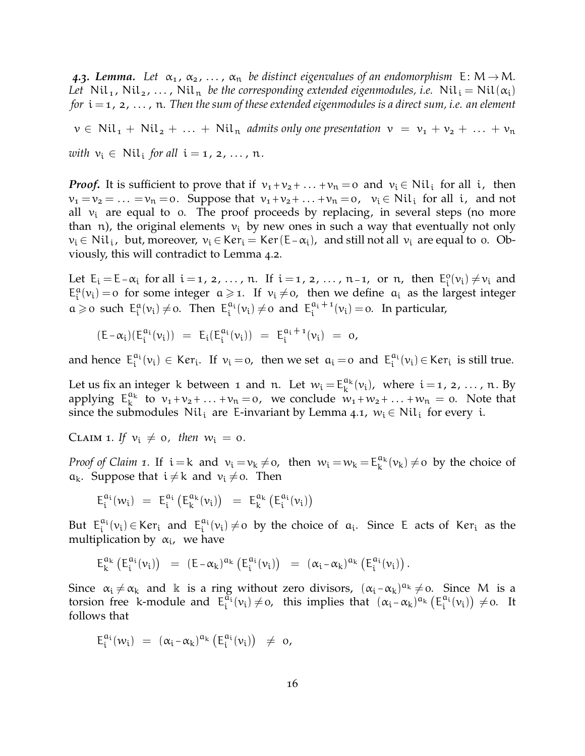**4.3. Lemma.** Let  $\alpha_1, \alpha_2, \ldots, \alpha_n$  be distinct eigenvalues of an endomorphism  $E: M \rightarrow M$ . *Let* Nil<sub>1</sub>, Nil<sub>2</sub>, ..., Nil<sub>n</sub> *be the corresponding extended eigenmodules, i.e.* Nil<sub>i</sub> = Nil( $\alpha_i$ ) *for*  $i = 1, 2, \ldots$ , n. Then the sum of these extended eigenmodules is a direct sum, i.e. an element

 $v \in Nil_1 + Nil_2 + ... + Nil_n$  *admits only one presentation*  $v = v_1 + v_2 + ... + v_n$  $with v_i \in Nil_i$  *for all*  $i = 1, 2, ..., n$ .

*Proof*. It is sufficient to prove that if  $v_1 + v_2 + ... + v_n = 0$  and  $v_i \in Nil_i$  for all i, then  $v_1 = v_2 = \ldots = v_n = 0$ . Suppose that  $v_1 + v_2 + \ldots + v_n = 0$ ,  $v_i \in Nil_i$  for all i, and not all  $v_i$  are equal to 0. The proof proceeds by replacing, in several steps (no more than n), the original elements  $v_i$  by new ones in such a way that eventually not only  $v_i \in Nil_i$ , but, moreover,  $v_i \in Ker_i = Ker(E-\alpha_i)$ , and still not all  $v_i$  are equal to 0. Obviously, this will contradict to Lemma 4.2.

Let  $E_i = E - \alpha_i$  for all  $i = 1, 2, ..., n$ . If  $i = 1, 2, ..., n-1$ , or n, then  $E_i^0$  $i_{i}^{0}(v_{i}) \neq v_{i}$  and  $E_i^a$  $\mathbf{u}_i^a(v_i) = o$  for some integer  $a \geq 1$ . If  $v_i \neq o$ , then we define  $a_i$  as the largest integer  $a \geqslant o$  such  $E_i^a$  $i_{i}^{a}(v_{i}) \neq 0$ . Then  $E_{i}^{a_{i}}$  $\int_{i}^{a_i}(v_i) \neq 0$  and  $E_i^{a_i+1}$  $\frac{a_i + 1}{i}(v_i) = 0$ . In particular,

 $(E - \alpha_i)(E_i^{\alpha_i})$  $i^{a_i}(v_i)$ ) =  $E_i(E_i^{a_i})$  $i^{a_i}(v_i)$  =  $E_i^{a_i+1}$  $\frac{a_i + 1}{i}(v_i) = 0,$ 

and hence  $E_i^{a_i}$  $a_i^{a_i}(v_i) \in \text{Ker}_i$ . If  $v_i = o$ , then we set  $a_i = o$  and  $E_i^{a_i}$  $i^{a_i}(v_i) \in \text{Ker}_i$  is still true.

Let us fix an integer k between 1 and n. Let  $w_i = E_k^{a_k}$  $_{k}^{\alpha_{k}}(v_{i})$ , where  $i = 1, 2, ..., n$ . By applying  $E_k^{a_k}$  $\begin{array}{c}\n\alpha_k \\
k \end{array}$  to  $v_1 + v_2 + \ldots + v_n = 0$ , we conclude  $w_1 + w_2 + \ldots + w_n = 0$ . Note that since the submodules  $\text{Nil}_i$  are E-invariant by Lemma 4.1,  $w_i \in \text{Nil}_i$  for every i.

CLAIM 1. If  $v_i \neq 0$ , then  $w_i = 0$ .

*Proof of Claim* 1. If  $i = k$  and  $v_i = v_k \neq 0$ , then  $w_i = w_k = E_k^{a_k}$  $_{k}^{\mathfrak{a}_{k}}(v_{k})\neq$  by the choice of  $a_k$ . Suppose that  $i \neq k$  and  $v_i \neq o$ . Then

$$
E_i^{a_i}(w_i) \ = \ E_i^{a_i}\left(E_k^{a_k}(v_i)\right) \ = \ E_k^{a_k}\left(E_i^{a_i}(v_i)\right)
$$

But  $E_i^{a_i}$  $i^{a_i}(v_i) \in \text{Ker}_i$  and  $E_i^{a_i}$  $a_i^{\alpha_i}(v_i) \neq o$  by the choice of  $a_i$ . Since E acts of Ker<sub>i</sub> as the multiplication by  $\alpha_i$ , we have

$$
E_k^{a_k}\left(E_i^{a_i}(\nu_i)\right) \ = \ \left(E-\alpha_k\right)^{a_k}\left(E_i^{a_i}(\nu_i)\right) \ = \ \left(\alpha_i-\alpha_k\right)^{a_k}\left(E_i^{a_i}(\nu_i)\right).
$$

Since  $\alpha_i \neq \alpha_k$  and k is a ring without zero divisors,  $(\alpha_i - \alpha_k)^{\alpha_k} \neq o$ . Since M is a torsion free k-module and  $E_i^{\alpha_i}$  $\begin{array}{ll}\n\tilde{a_i}(v_i) \neq 0, \text{ this implies that } (\alpha_i - \alpha_k)^{a_k} \left( E_i^{a_i} \right)\n\end{array}$  $i^{a_i}(v_i)$   $\neq$  0. It follows that

$$
E_i^{a_i}(w_i) \ = \ (\alpha_i \text{-} \alpha_k)^{a_k} \left( E_i^{a_i}(v_i) \right) \ \neq \ \text{o},
$$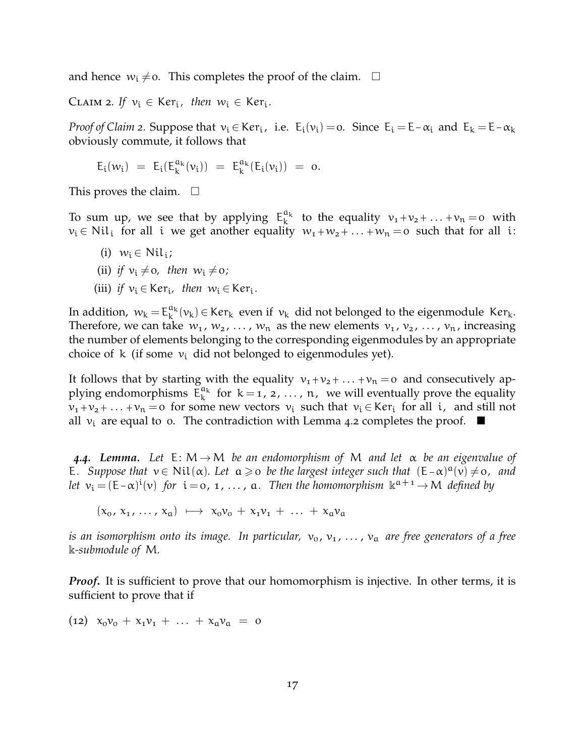and hence  $w_i \neq o$ . This completes the proof of the claim.  $\Box$ 

CLAIM 2. If  $v_i \in \text{Ker}_i$ , then  $w_i \in \text{Ker}_i$ .

*Proof of Claim* 2. Suppose that  $v_i \in \text{Ker}_i$ , i.e.  $E_i(v_i) = o$ . Since  $E_i = E - \alpha_i$  and  $E_k = E - \alpha_k$ obviously commute, it follows that

$$
E_i(\nu_i) \ = \ E_i(E_k^{a_k}(\nu_i)) \ = \ E_k^{a_k}(E_i(\nu_i)) \ = \ o.
$$

This proves the claim.  $\square$ 

To sum up, we see that by applying  $E_k^{a_k}$  $_{k}^{\alpha_{k}}$  to the equality  $v_{1}+v_{2}+\ldots+v_{n}=0$  with  $v_i \in Nil_i$  for all i we get another equality  $w_1 + w_2 + ... + w_n = 0$  such that for all i:

- (i)  $w_i \in \text{Nil}_i;$
- (ii) *if*  $v_i \neq 0$ *, then*  $w_i \neq 0$ *;*
- (iii) *if*  $v_i \in \text{Ker}_i$ , then  $w_i \in \text{Ker}_i$ .

In addition,  $w_k = E_k^{a_k}$  $\mu_k^{\alpha_k}(v_k) \in \text{Ker}_k$  even if  $v_k$  did not belonged to the eigenmodule  $\text{Ker}_k$ . Therefore, we can take  $w_1, w_2, ..., w_n$  as the new elements  $v_1, v_2, ..., v_n$ , increasing the number of elements belonging to the corresponding eigenmodules by an appropriate choice of k (if some  $v_i$  did not belonged to eigenmodules yet).

It follows that by starting with the equality  $v_1 + v_2 + ... + v_n = 0$  and consecutively applying endomorphisms  $\mathsf{E}_{\mathsf{k}}^{\mathfrak{a}_{\mathsf{k}}}$  $\kappa_k^{\alpha_k}$  for  $k = 1, 2, ..., n$ , we will eventually prove the equality  $v_1 + v_2 + \ldots + v_n = 0$  for some new vectors  $v_i$  such that  $v_i \in \text{Ker}_i$  for all i, and still not all  $v_i$  are equal to 0. The contradiction with Lemma 4.2 completes the proof.  $\blacksquare$ 

*4.4. Lemma. Let* E: M→M *be an endomorphism of* M *and let* α *be an eigenvalue of* E. Suppose that  $v \in Nil(\alpha)$ . Let  $\alpha \geqslant o$  be the largest integer such that  $(E-\alpha)^{\alpha}(v) \neq o$ , and *let*  $v_i = (E - \alpha)^i(v)$  *for*  $i = 0, 1, ..., a$ . Then the homomorphism  $k^{a+1} \rightarrow M$  *defined by* 

 $(x_0, x_1, \ldots, x_n) \mapsto x_0v_0 + x_1v_1 + \ldots + x_nv_n$ 

*is an isomorphism onto its image. In particular,*  $v_0$ ,  $v_1$ ,  $\ldots$ ,  $v_a$  *are free generators of a free* k*-submodule of* M*.*

*Proof.* It is sufficient to prove that our homomorphism is injective. In other terms, it is sufficient to prove that if

(12)  $x_0v_0 + x_1v_1 + \ldots + x_9v_9 = 0$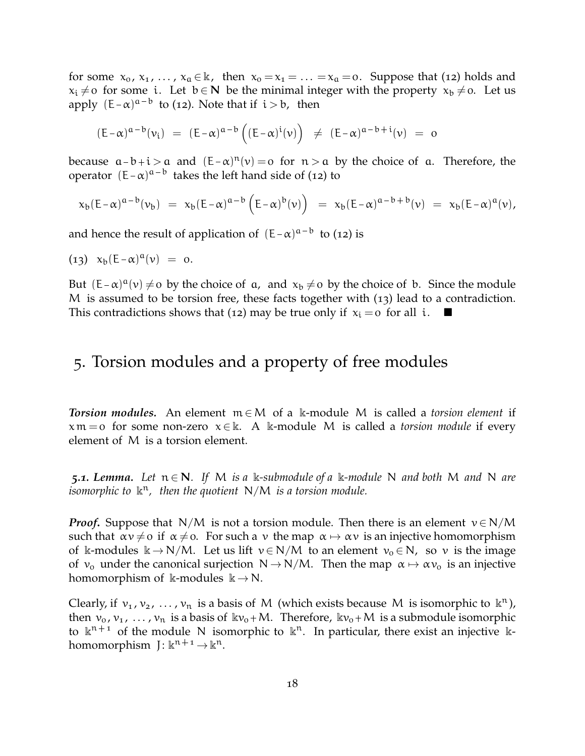for some  $x_0, x_1, ..., x_a \in \mathbb{k}$ , then  $x_0 = x_1 = ... = x_a = 0$ . Suppose that (12) holds and  $x_i \neq 0$  for some i. Let  $b \in N$  be the minimal integer with the property  $x_b \neq 0$ . Let us apply  $(E-\alpha)^{a-b}$  to (12). Note that if  $i>b$ , then

$$
(E-\alpha)^{\alpha-b}(\nu_i) \ = \ (E-\alpha)^{\alpha-b}\left((E-\alpha)^i(\nu)\right) \ \neq \ (E-\alpha)^{\alpha-b+i}(\nu) \ = \ o
$$

because  $a-b+i > a$  and  $(E-\alpha)^n(v) = o$  for  $n > a$  by the choice of a. Therefore, the operator  $(E-\alpha)^{a-b}$  takes the left hand side of (12) to

$$
x_b(E-\alpha)^{a-b}(\nu_b) = x_b(E-\alpha)^{a-b} (E-\alpha)^b(\nu) = x_b(E-\alpha)^{a-b+b}(\nu) = x_b(E-\alpha)^a(\nu),
$$

and hence the result of application of  $(E-\alpha)^{a-b}$  to (12) is

$$
(13) \quad x_b(E-\alpha)^a(\nu) = 0.
$$

But  $(E-\alpha)^{\alpha}(v) \neq o$  by the choice of  $\alpha$ , and  $x_b \neq o$  by the choice of b. Since the module M is assumed to be torsion free, these facts together with (13) lead to a contradiction. This contradictions shows that (12) may be true only if  $x_i = o$  for all i.  $\blacksquare$ 

## 5. Torsion modules and a property of free modules

*Torsion modules.* An element m ∈M of a k-module M is called a *torsion element* if  $x \mathfrak{m} = o$  for some non-zero  $x \in \mathbb{k}$ . A k-module M is called a *torsion module* if every element of M is a torsion element.

**5.1. Lemma.** Let  $n \in \mathbb{N}$ . If M is a k-submodule of a k-module N and both M and N are isomorphic to  $\mathbb{R}^n$ , then the quotient N/M is a torsion module.

*Proof.* Suppose that N/M is not a torsion module. Then there is an element  $v \in N/M$ such that  $\alpha v \neq 0$  if  $\alpha \neq 0$ . For such a v the map  $\alpha \mapsto \alpha v$  is an injective homomorphism of k-modules  $k \to N/M$ . Let us lift  $v \in N/M$  to an element  $v_0 \in N$ , so v is the image of  $v_0$  under the canonical surjection  $N \rightarrow N/M$ . Then the map  $\alpha \mapsto \alpha v_0$  is an injective homomorphism of  $\Bbbk$ -modules  $\Bbbk \to N$ .

Clearly, if  $v_1, v_2, ..., v_n$  is a basis of M (which exists because M is isomorphic to  $\mathbb{k}^n$ ), then  $v_0, v_1, \ldots, v_n$  is a basis of  $kv_0 + M$ . Therefore,  $kv_0 + M$  is a submodule isomorphic to  $\mathbb{R}^{n+1}$  of the module N isomorphic to  $\mathbb{R}^n$ . In particular, there exist an injective  $\mathbb{R}$ homomorphism  $J: \mathbb{K}^{n+1} \to \mathbb{K}^n$ .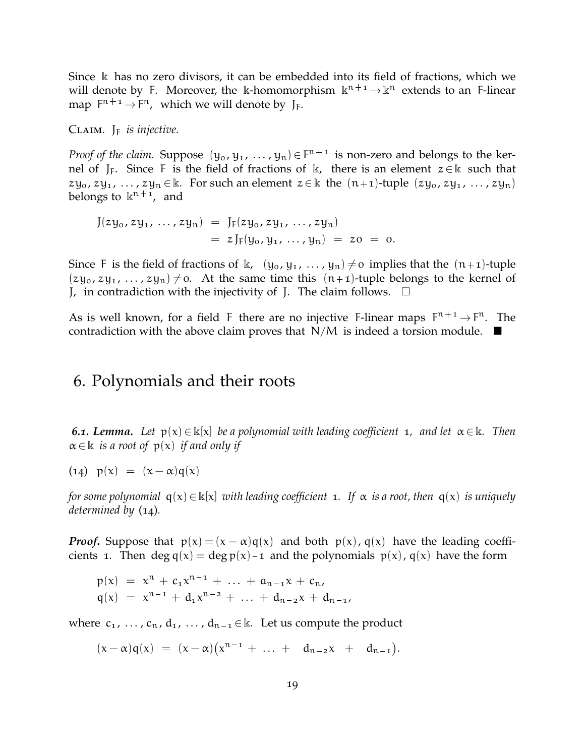Since k has no zero divisors, it can be embedded into its field of fractions, which we will denote by F. Moreover, the k-homomorphism  $k^{n+1} \to k^n$  extends to an F-linear map  $F^{n+1} \rightarrow F^n$ , which we will denote by J<sub>F</sub>.

Claim. J<sup>F</sup> *is injective.*

*Proof of the claim.* Suppose  $(y_0, y_1, ..., y_n) \in F^{n+1}$  is non-zero and belongs to the kernel of J<sub>F</sub>. Since F is the field of fractions of k, there is an element  $z \in \mathbb{k}$  such that  $zy_0$ ,  $zy_1$ , ...,  $zy_n \in \mathbb{k}$ . For such an element  $z \in \mathbb{k}$  the  $(n+1)$ -tuple  $(zy_0, zy_1, \ldots, zy_n)$ belongs to  $\kappa^{n+1}$ , and

$$
J(zy_0, zy_1, ..., zy_n) = J_F(zy_0, zy_1, ..., zy_n)
$$
  
=  $zJ_F(y_0, y_1, ..., y_n) = zo = o.$ 

Since F is the field of fractions of k,  $(y_0, y_1, \ldots, y_n) \neq o$  implies that the  $(n+1)$ -tuple  $(zy_0, zy_1, \ldots, zy_n) \neq 0$ . At the same time this  $(n+1)$ -tuple belongs to the kernel of J, in contradiction with the injectivity of J. The claim follows.  $\Box$ 

As is well known, for a field F there are no injective F-linear maps  $F^{n+1} \rightarrow F^n$ . The contradiction with the above claim proves that  $N/M$  is indeed a torsion module.  $\blacksquare$ 

#### 6. Polynomials and their roots

*6.1. Lemma.* Let  $p(x) \in \mathbb{k}[x]$  *be a polynomial with leading coefficient* 1, and let  $\alpha \in \mathbb{k}$ . Then  $\alpha \in \mathbb{k}$  *is a root of*  $p(x)$  *if and only if* 

(14)  $p(x) = (x - \alpha)q(x)$ 

*for some polynomial*  $q(x) \in \mathbb{k}[x]$  *with leading coefficient* 1*.* If  $\alpha$  *is a root, then*  $q(x)$  *is uniquely determined by* (14)*.*

*Proof.* Suppose that  $p(x) = (x - \alpha)q(x)$  and both  $p(x)$ ,  $q(x)$  have the leading coefficients 1. Then deg  $q(x) = \deg p(x) - 1$  and the polynomials  $p(x)$ ,  $q(x)$  have the form

$$
p(x) = x^{n} + c_{1}x^{n-1} + \ldots + a_{n-1}x + c_{n},
$$
  
\n
$$
q(x) = x^{n-1} + d_{1}x^{n-2} + \ldots + d_{n-2}x + d_{n-1},
$$

where  $c_1, \ldots, c_n, d_1, \ldots, d_{n-1} \in \mathbb{k}$ . Let us compute the product

 $(x - \alpha)q(x) = (x - \alpha)(x^{n-1} + \dots + d_{n-2}x + d_{n-1}).$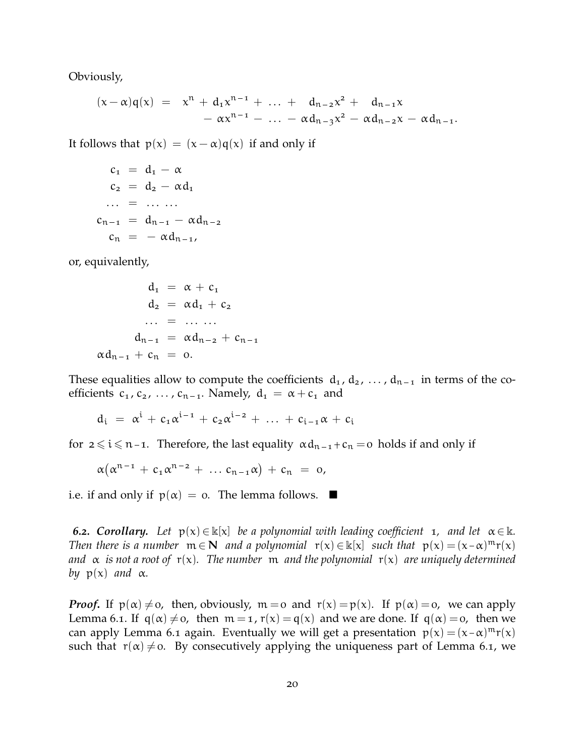Obviously,

$$
\begin{array}{lcl} (x-\alpha)q(x) & = & x^n + d_1 x^{n-1} + \ \ldots \ + \ d_{n-2} x^2 \ + \ d_{n-1} x \\ & & - \alpha x^{n-1} - \ \ldots \ - \alpha d_{n-3} x^2 - \alpha d_{n-2} x - \alpha d_{n-1}. \end{array}
$$

It follows that  $p(x) = (x - \alpha)q(x)$  if and only if

$$
c_1 = d_1 - \alpha
$$
  
\n
$$
c_2 = d_2 - \alpha d_1
$$
  
\n... = ....  
\n
$$
c_{n-1} = d_{n-1} - \alpha d_{n-2}
$$
  
\n
$$
c_n = -\alpha d_{n-1}
$$

or, equivalently,

$$
d_1 = \alpha + c_1
$$
  
\n
$$
d_2 = \alpha d_1 + c_2
$$
  
\n... = ....  
\n
$$
d_{n-1} = \alpha d_{n-2} + c_{n-1}
$$
  
\n
$$
\alpha d_{n-1} + c_n = 0.
$$

These equalities allow to compute the coefficients  $d_1, d_2, \ldots, d_{n-1}$  in terms of the coefficients  $c_1, c_2, \ldots, c_{n-1}$ . Namely,  $d_1 = \alpha + c_1$  and

$$
d_i = \alpha^i + c_1 \alpha^{i-1} + c_2 \alpha^{i-2} + \ldots + c_{i-1} \alpha + c_i
$$

for  $2 \le i \le n-1$ . Therefore, the last equality  $\alpha d_{n-1} + c_n = 0$  holds if and only if

$$
\alpha(\alpha^{n-1} + c_1 \alpha^{n-2} + \ldots c_{n-1} \alpha) + c_n = 0,
$$

i.e. if and only if  $p(\alpha) = 0$ . The lemma follows.  $\blacksquare$ 

**6.2. Corollary.** Let  $p(x) \in \mathbb{k}[x]$  be a polynomial with leading coefficient 1, and let  $\alpha \in \mathbb{k}$ . *Then there is a number*  $m \in \mathbb{N}$  *and a polynomial*  $r(x) \in \mathbb{k}[x]$  *such that*  $p(x) = (x - \alpha)^m r(x)$ *and* α *is not a root of* r(x)*. The number* m *and the polynomial* r(x) *are uniquely determined by*  $p(x)$  *and*  $\alpha$ *.* 

*Proof.* If  $p(\alpha) \neq 0$ , then, obviously,  $m = 0$  and  $r(x) = p(x)$ . If  $p(\alpha) = 0$ , we can apply Lemma 6.1. If  $q(\alpha) \neq 0$ , then  $m = 1$ ,  $r(x) = q(x)$  and we are done. If  $q(\alpha) = 0$ , then we can apply Lemma 6.1 again. Eventually we will get a presentation  $p(x) = (x - \alpha)^m r(x)$ such that  $r(\alpha) \neq 0$ . By consecutively applying the uniqueness part of Lemma 6.1, we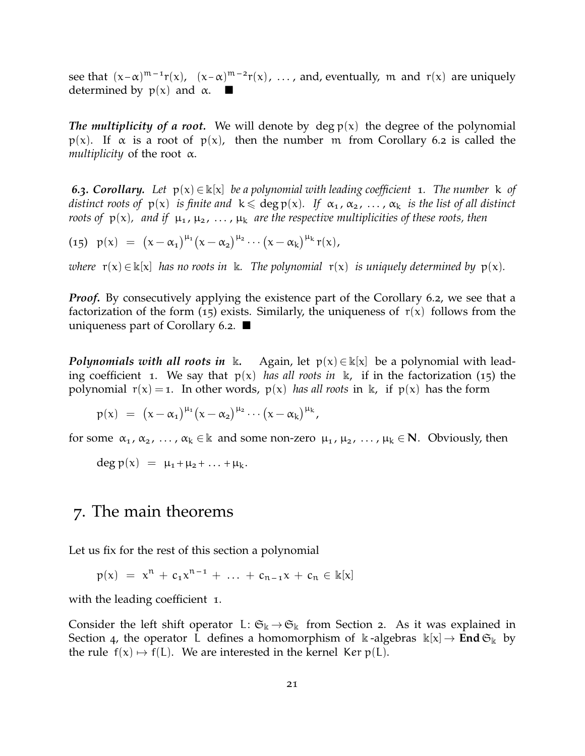see that  $(x-\alpha)^{m-1}r(x)$ ,  $(x-\alpha)^{m-2}r(x)$ , ..., and, eventually, m and  $r(x)$  are uniquely determined by  $p(x)$  and  $\alpha$ .

*The multiplicity of a root.* We will denote by deg  $p(x)$  the degree of the polynomial p(x). If  $\alpha$  is a root of p(x), then the number m from Corollary 6.2 is called the *multiplicity* of the root α.

*6.3. Corollary. Let* p(x) ∈ k[x] *be a polynomial with leading coefficient* 1*. The number* k *of distinct roots of*  $p(x)$  *is finite and*  $k \leqslant deg p(x)$ *. If*  $\alpha_1, \alpha_2, \ldots, \alpha_k$  *is the list of all distinct roots of*  $p(x)$ , and if  $\mu_1, \mu_2, \ldots, \mu_k$  are the respective multiplicities of these roots, then

(15)  $p(x) = (x - \alpha_1)^{\mu_1}(x - \alpha_2)^{\mu_2} \cdots (x - \alpha_k)^{\mu_k} r(x)$ 

*where*  $r(x) \in \mathbb{k}[x]$  *has no roots in* k*. The polynomial*  $r(x)$  *is uniquely determined by*  $p(x)$ *.* 

*Proof.* By consecutively applying the existence part of the Corollary 6.2, we see that a factorization of the form (15) exists. Similarly, the uniqueness of  $r(x)$  follows from the uniqueness part of Corollary 6.2.  $\blacksquare$ 

*Polynomials with all roots in* k. Again, let  $p(x) \in k[x]$  be a polynomial with leading coefficient 1. We say that  $p(x)$  *has all roots in*  $k$ , if in the factorization (15) the polynomial  $r(x) = 1$ . In other words,  $p(x)$  *has all roots* in k, if  $p(x)$  has the form

$$
p(x) ~=~ \big(x-\alpha_1\big)^{\mu_1}\big(x-\alpha_2\big)^{\mu_2}\cdots \big(x-\alpha_k\big)^{\mu_k}{\,},
$$

for some  $\alpha_1, \alpha_2, \ldots, \alpha_k \in \mathbb{k}$  and some non-zero  $\mu_1, \mu_2, \ldots, \mu_k \in \mathbb{N}$ . Obviously, then

 $\deg p(x) = \mu_1 + \mu_2 + \ldots + \mu_k$ .

## 7. The main theorems

Let us fix for the rest of this section a polynomial

$$
p(x) = x^{n} + c_{1}x^{n-1} + \ldots + c_{n-1}x + c_{n} \in \mathbb{k}[x]
$$

with the leading coefficient 1.

Consider the left shift operator L:  $\mathfrak{S}_k \rightarrow \mathfrak{S}_k$  from Section 2. As it was explained in Section 4, the operator L defines a homomorphism of  $\Bbbk$ -algebras  $\Bbbk[x] \to \text{End } \mathfrak{S}_{\Bbbk}$  by the rule  $f(x) \mapsto f(L)$ . We are interested in the kernel Ker p(L).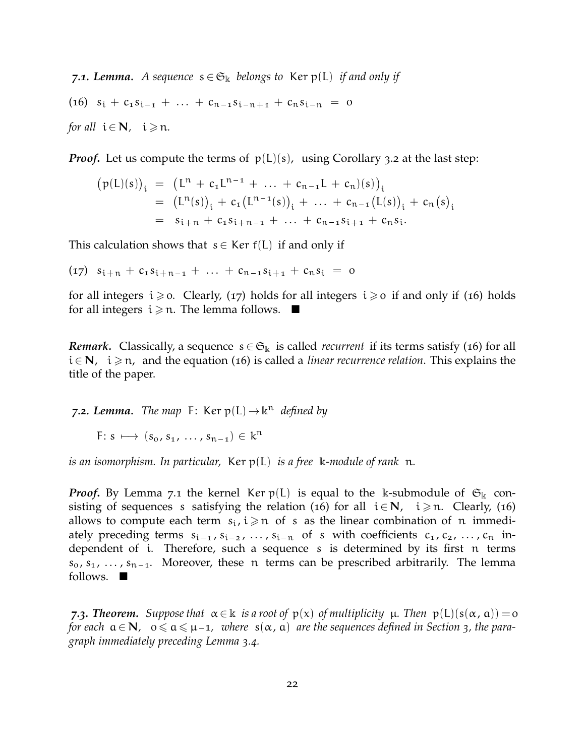*7.1. Lemma. A sequence*  $s \in \mathfrak{S}_k$  *belongs to* Ker  $p(L)$  *if and only if* (16)  $s_i + c_1 s_{i-1} + \ldots + c_{n-1} s_{i-n+1} + c_n s_{i-n} = 0$ 

*for all*  $i \in \mathbb{N}$ *,*  $i \ge n$ *.* 

*Proof.* Let us compute the terms of  $p(L)(s)$ , using Corollary 3.2 at the last step:

$$
\begin{array}{lcl} \big(p(L)(s)\big)_i & = & \big(L^n + c_1 L^{n-1} + \ldots + c_{n-1}L + c_n)(s)\big)_i \\ & = & \big(L^n(s)\big)_i + c_1 \big(L^{n-1}(s)\big)_i + \ldots + c_{n-1} \big(L(s)\big)_i + c_n \big(s\big)_i \\ & = & s_{i+n} + c_1 s_{i+n-1} + \ldots + c_{n-1} s_{i+1} + c_n s_i. \end{array}
$$

This calculation shows that  $s \in \text{Ker } f(L)$  if and only if

 $(17)$   $s_{i+n} + c_1 s_{i+n-1} + \ldots + c_{n-1} s_{i+1} + c_n s_i = 0$ 

for all integers  $i \ge 0$ . Clearly, (17) holds for all integers  $i \ge 0$  if and only if (16) holds for all integers  $i \geq n$ . The lemma follows.  $\blacksquare$ 

*Remark.* Classically, a sequence  $s \in \mathfrak{S}_k$  is called *recurrent* if its terms satisfy (16) for all i ∈ N, i ≥ n, and the equation (16) is called a *linear recurrence relation*. This explains the title of the paper.

**7.2. Lemma.** The map F: Ker  $p(L) \rightarrow \mathbb{k}^n$  defined by

F:  $s \mapsto (s_0, s_1, \ldots, s_{n-1}) \in k^n$ 

*is an isomorphism. In particular,* Ker p(L) *is a free* k*-module of rank* n*.*

*Proof.* By Lemma 7.1 the kernel Ker  $p(L)$  is equal to the k-submodule of  $\mathfrak{S}_k$  consisting of sequences s satisfying the relation (16) for all  $i \in N$ ,  $i \ge n$ . Clearly, (16) allows to compute each term  $s_i$ ,  $i \geq n$  of s as the linear combination of n immediately preceding terms  $s_{i-1}$ ,  $s_{i-2}$ ,  $\dots$ ,  $s_{i-n}$  of s with coefficients  $c_1, c_2, \dots, c_n$  independent of i. Therefore, such a sequence s is determined by its first n terms  $s_0, s_1, \ldots, s_{n-1}$ . Moreover, these n terms can be prescribed arbitrarily. The lemma follows.  $\blacksquare$ 

*7.3. Theorem. Suppose that*  $α ∈ ℝ$  *is a root of*  $p(x)$  *of multiplicity*  $μ$ *. Then*  $p(L)(s(α, α)) = 0$ *for each*  $a \in N$ ,  $0 \le a \le \mu - 1$ , where  $s(\alpha, a)$  are the sequences defined in Section 3, the para*graph immediately preceding Lemma 3.4.*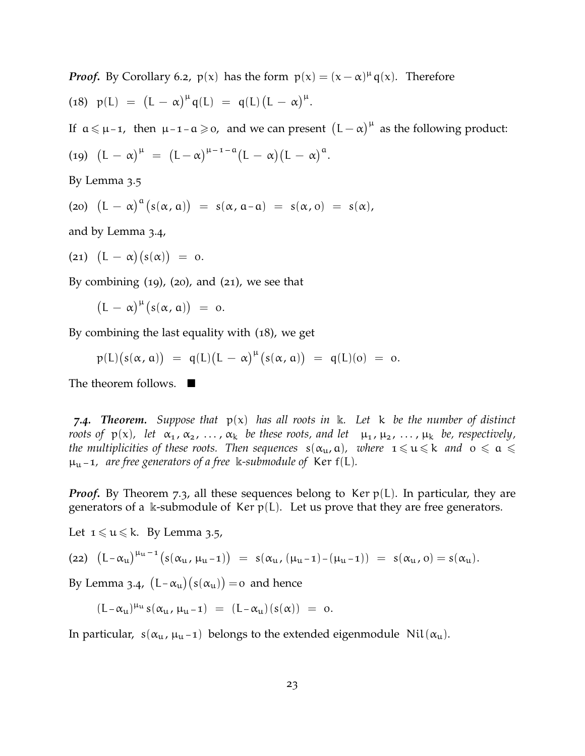*Proof.* By Corollary 6.2,  $p(x)$  has the form  $p(x) = (x - \alpha)^{\mu} q(x)$ . Therefore (18)  $p(L) = (L - \alpha)^{\mu} q(L) = q(L) (L - \alpha)^{\mu}$ .

If  $a \le \mu - 1$ , then  $\mu - 1 - a \ge 0$ , and we can present  $(L - \alpha)^{\mu}$  as the following product:

$$
(19)\ \ \big(L\,-\,\alpha\big)^{\mu}\ =\ \big(L\,-\,\alpha\big)^{\mu\,-\,1\,-\,\alpha}\big(L\,-\,\alpha\big)\big(L\,-\,\alpha\big)^{\alpha}.
$$

By Lemma 3.5

(a) 
$$
(L - \alpha)^a (s(\alpha, \alpha)) = s(\alpha, \alpha - \alpha) = s(\alpha, \alpha) = s(\alpha),
$$

and by Lemma 3.4,

$$
(21) (L - \alpha)(s(\alpha)) = 0.
$$

By combining  $(19)$ ,  $(20)$ , and  $(21)$ , we see that

$$
\bigl(L\,-\,\alpha\bigr)^\mu\bigl(s(\alpha,\,a)\bigr)\ =\ o.
$$

By combining the last equality with (18), we get

$$
p(L)(s(\alpha, \alpha)) = q(L)(L - \alpha)^{\mu}(s(\alpha, \alpha)) = q(L)(o) = o.
$$

The theorem follows.  $\blacksquare$ 

*7.4. Theorem. Suppose that* p(x) *has all roots in* k*. Let* k *be the number of distinct roots of*  $p(x)$ , *let*  $\alpha_1, \alpha_2, \ldots, \alpha_k$  *be these roots, and let*  $\mu_1, \mu_2, \ldots, \mu_k$  *be, respectively, the multiplicities of these roots. Then sequences*  $s(\alpha_{u}, \alpha)$ *, where*  $1 \leq u \leq k$  *and*  $0 \leq \alpha \leq k$  $\mu_{\rm u}$  – 1, are free generators of a free k-submodule of Ker f(L).

*Proof.* By Theorem 7.3, all these sequences belong to Ker  $p(L)$ . In particular, they are generators of a k-submodule of Ker  $p(L)$ . Let us prove that they are free generators.

Let  $1 \leq u \leq k$ . By Lemma 3.5,

$$
\text{(22)}\ \ \left(L-\alpha_u\right)^{\mu_u-1}\big(s(\alpha_u\,,\, \mu_u-1)\big) \ =\ s(\alpha_u\,,\, (\mu_u-1)-(\mu_u-1)\big) \ =\ s(\alpha_u\,,\, o)=s(\alpha_u)\,.
$$

By Lemma 3.4,  $(L-\alpha_u)(s(\alpha_u)) = o$  and hence

$$
(L - \alpha_u)^{\mu_u} s(\alpha_u, \mu_u - 1) \ = \ (L - \alpha_u)(s(\alpha)) \ = \ o.
$$

In particular,  $s(\alpha_{\mu}, \mu_{\mu-1})$  belongs to the extended eigenmodule Nil $(\alpha_{\mu})$ .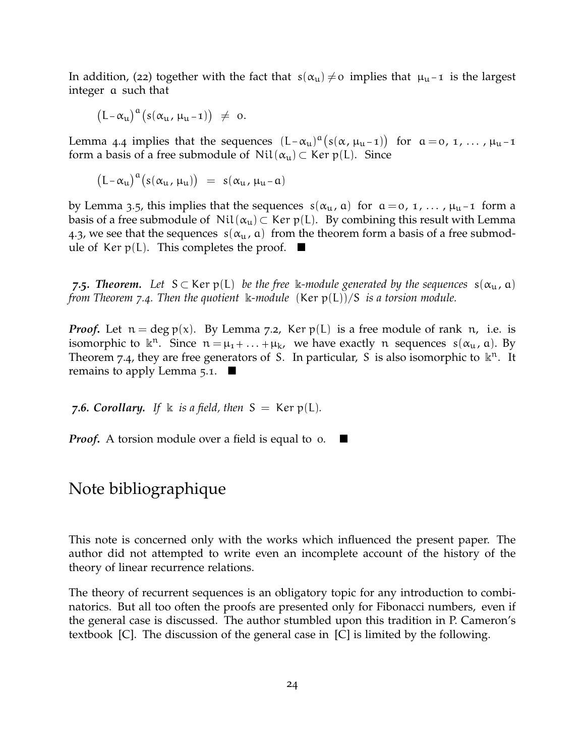In addition, (22) together with the fact that  $s(\alpha_{\mu}) \neq o$  implies that  $\mu_{\mu}$ -1 is the largest integer a such that

$$
\bigl(L-\alpha_u\bigr)^\alpha\bigl(s(\alpha_u\,,\,\mu_u-\mathbf{1})\bigr)\ \neq\ \mathbf{0}.
$$

Lemma 4.4 implies that the sequences  $(L-\alpha_u)^{\alpha}(s(\alpha,\mu_{u}-1))$  for  $\alpha=0, 1, ..., \mu_{u}-1$ form a basis of a free submodule of  $Nil(\alpha_u) \subset Ker p(L)$ . Since

$$
\bigl(L-\alpha_u\bigr)^\alpha\bigl(s(\alpha_u\,,\,\mu_u)\bigr)\ =\ s(\alpha_u\,,\,\mu_u\,\!-\!\,a)
$$

by Lemma 3.5, this implies that the sequences  $s(\alpha_{\mu}, \alpha)$  for  $\alpha = 0, 1, \dots, \mu_{\mu}$ -1 form a basis of a free submodule of  $Nil(\alpha_u) \subset \text{Ker } p(L)$ . By combining this result with Lemma 4.3, we see that the sequences  $s(\alpha_{u}, a)$  from the theorem form a basis of a free submodule of Ker  $p(L)$ . This completes the proof.  $\blacksquare$ 

*7.5. Theorem.* Let  $S \subset \text{Ker } p(L)$  *be the free* k-module generated by the sequences  $s(\alpha_{u}, \alpha)$ *from Theorem 7.4. Then the quotient* k*-module* (Ker p(L))/S *is a torsion module.*

*Proof.* Let  $n = \deg p(x)$ . By Lemma 7.2, Ker  $p(L)$  is a free module of rank n, i.e. is isomorphic to  $\mathbb{R}^n$ . Since  $n = \mu_1 + \ldots + \mu_k$ , we have exactly n sequences  $s(\alpha_{\mu}, \alpha)$ . By Theorem 7.4, they are free generators of S. In particular, S is also isomorphic to  $\mathbb{R}^n$ . It remains to apply Lemma  $5.1.$ 

*7.6. Corollary.* If  $\Bbbk$  *is a field, then*  $S = \text{Ker }p(L)$ *.* 

*Proof***.** A torsion module over a field is equal to o. ■

## Note bibliographique

This note is concerned only with the works which influenced the present paper. The author did not attempted to write even an incomplete account of the history of the theory of linear recurrence relations.

The theory of recurrent sequences is an obligatory topic for any introduction to combinatorics. But all too often the proofs are presented only for Fibonacci numbers, even if the general case is discussed. The author stumbled upon this tradition in P. Cameron's textbook [C]. The discussion of the general case in [C] is limited by the following.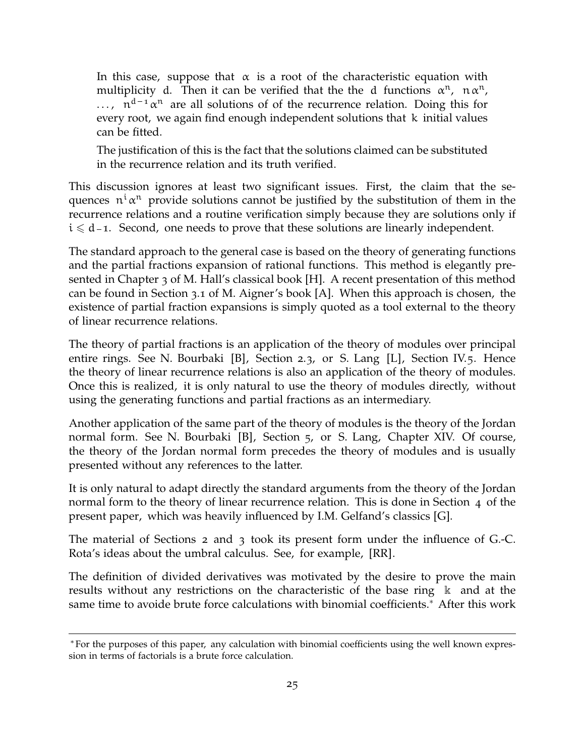In this case, suppose that  $\alpha$  is a root of the characteristic equation with multiplicity d. Then it can be verified that the the d functions  $\alpha^n$ ,  $n \alpha^n$ ,  $\ldots$ ,  $n^{d-1}\alpha^n$  are all solutions of of the recurrence relation. Doing this for every root, we again find enough independent solutions that k initial values can be fitted.

The justification of this is the fact that the solutions claimed can be substituted in the recurrence relation and its truth verified.

This discussion ignores at least two significant issues. First, the claim that the sequences  $n^i \alpha^n$  provide solutions cannot be justified by the substitution of them in the recurrence relations and a routine verification simply because they are solutions only if  $i \le d - 1$ . Second, one needs to prove that these solutions are linearly independent.

The standard approach to the general case is based on the theory of generating functions and the partial fractions expansion of rational functions. This method is elegantly presented in Chapter 3 of M. Hall's classical book [H]. A recent presentation of this method can be found in Section 3.1 of M. Aigner's book [A]. When this approach is chosen, the existence of partial fraction expansions is simply quoted as a tool external to the theory of linear recurrence relations.

The theory of partial fractions is an application of the theory of modules over principal entire rings. See N. Bourbaki [B], Section 2.3, or S. Lang [L], Section IV.5. Hence the theory of linear recurrence relations is also an application of the theory of modules. Once this is realized, it is only natural to use the theory of modules directly, without using the generating functions and partial fractions as an intermediary.

Another application of the same part of the theory of modules is the theory of the Jordan normal form. See N. Bourbaki [B], Section 5, or S. Lang, Chapter XIV. Of course, the theory of the Jordan normal form precedes the theory of modules and is usually presented without any references to the latter.

It is only natural to adapt directly the standard arguments from the theory of the Jordan normal form to the theory of linear recurrence relation. This is done in Section 4 of the present paper, which was heavily influenced by I.M. Gelfand's classics [G].

The material of Sections 2 and 3 took its present form under the influence of G.-C. Rota's ideas about the umbral calculus. See, for example, [RR].

The definition of divided derivatives was motivated by the desire to prove the main results without any restrictions on the characteristic of the base ring  $\kappa$  and at the same time to avoide brute force calculations with binomial coefficients.<sup>∗</sup> After this work

<sup>∗</sup>For the purposes of this paper, any calculation with binomial coefficients using the well known expression in terms of factorials is a brute force calculation.